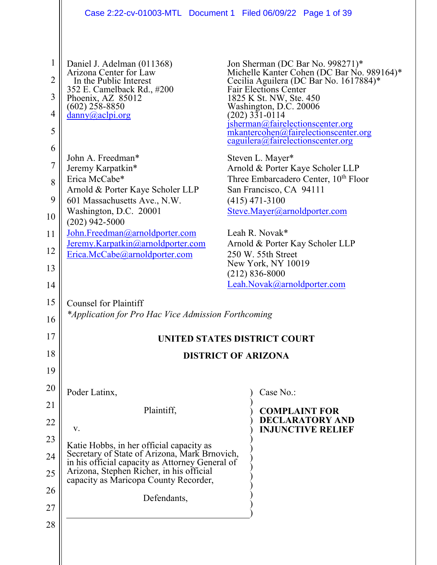|                | Case 2:22-cv-01003-MTL Document 1 Filed 06/09/22 Page 1 of 39                                    |                                                                                                               |
|----------------|--------------------------------------------------------------------------------------------------|---------------------------------------------------------------------------------------------------------------|
|                |                                                                                                  |                                                                                                               |
| $\mathbf{1}$   | Daniel J. Adelman (011368)                                                                       | Jon Sherman (DC Bar No. 998271)*                                                                              |
| 2              | Arizona Center for Law<br>In the Public Interest                                                 | Michelle Kanter Cohen (DC Bar No. 989164)*<br>Cecilia Aguilera (DC Bar No. 1617884)*                          |
| 3              | 352 E. Camelback Rd., #200<br>Phoenix, AZ 85012                                                  | Fair Elections Center<br>1825 K St. NW, Ste. 450                                                              |
| $\overline{4}$ | $(602)$ 258-8850<br>$\frac{d$ anny $(a)$ aclpi.org                                               | Washington, D.C. 20006<br>(202) 331-0114                                                                      |
| 5              |                                                                                                  | jsherman@fairelectionscenter.org<br>mkantercohen@fairelectionscenter.org<br>caguilera@fairelectionscenter.org |
| 6              | John A. Freedman*                                                                                | Steven L. Mayer*                                                                                              |
| 7              | Jeremy Karpatkin*                                                                                | Arnold & Porter Kaye Scholer LLP                                                                              |
| 8              | Erica McCabe*<br>Arnold & Porter Kaye Scholer LLP                                                | Three Embarcadero Center, 10 <sup>th</sup> Floor<br>San Francisco, CA 94111                                   |
| 9              | 601 Massachusetts Ave., N.W.                                                                     | $(415)$ 471-3100                                                                                              |
| 10             | Washington, D.C. 20001<br>$(202)$ 942-5000                                                       | Steve.Mayer@arnoldporter.com                                                                                  |
| 11             | John.Freedman@arnoldporter.com                                                                   | Leah R. Novak*                                                                                                |
| 12             | Jeremy.Karpatkin@arnoldporter.com<br>Erica.McCabe@arnoldporter.com                               | Arnold & Porter Kay Scholer LLP<br>250 W. 55th Street                                                         |
| 13             |                                                                                                  | New York, NY 10019                                                                                            |
| 14             |                                                                                                  | $(212) 836 - 8000$<br>Leah.Novak@arnoldporter.com                                                             |
| 15             | <b>Counsel for Plaintiff</b>                                                                     |                                                                                                               |
| 16             | *Application for Pro Hac Vice Admission Forthcoming                                              |                                                                                                               |
| 17             |                                                                                                  | UNITED STATES DISTRICT COURT                                                                                  |
| 18             | <b>DISTRICT OF ARIZONA</b>                                                                       |                                                                                                               |
| 19             |                                                                                                  |                                                                                                               |
| 20             | Poder Latinx,                                                                                    | Case No.:                                                                                                     |
| 21             | Plaintiff,                                                                                       | <b>COMPLAINT FOR</b>                                                                                          |
| 22             | V.                                                                                               | <b>DECLARATORY AND</b><br><b>INJUNCTIVE RELIEF</b>                                                            |
| 23             | Katie Hobbs, in her official capacity as                                                         |                                                                                                               |
| 24             | Secretary of State of Arizona, Mark Brnovich,<br>in his official capacity as Attorney General of |                                                                                                               |
| 25             | Arizona, Stephen Richer, in his official<br>capacity as Maricopa County Recorder,                |                                                                                                               |
| 26             | Defendants,                                                                                      |                                                                                                               |
| 27             |                                                                                                  |                                                                                                               |
| 28             |                                                                                                  |                                                                                                               |
|                |                                                                                                  |                                                                                                               |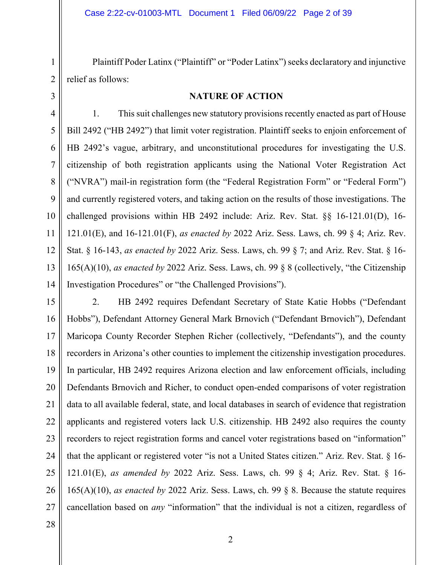Plaintiff Poder Latinx ("Plaintiff" or "Poder Latinx") seeks declaratory and injunctive relief as follows:

3

1

2

## **NATURE OF ACTION**

4 5 6 7 8 9 10 11 12 13 14 1. This suit challenges new statutory provisions recently enacted as part of House Bill 2492 ("HB 2492") that limit voter registration. Plaintiff seeks to enjoin enforcement of HB 2492's vague, arbitrary, and unconstitutional procedures for investigating the U.S. citizenship of both registration applicants using the National Voter Registration Act ("NVRA") mail-in registration form (the "Federal Registration Form" or "Federal Form") and currently registered voters, and taking action on the results of those investigations. The challenged provisions within HB 2492 include: Ariz. Rev. Stat. §§ 16-121.01(D), 16- 121.01(E), and 16-121.01(F), *as enacted by* 2022 Ariz. Sess. Laws, ch. 99 § 4; Ariz. Rev. Stat. § 16-143, *as enacted by* 2022 Ariz. Sess. Laws, ch. 99 § 7; and Ariz. Rev. Stat. § 16- 165(A)(10), *as enacted by* 2022 Ariz. Sess. Laws, ch. 99 § 8 (collectively, "the Citizenship Investigation Procedures" or "the Challenged Provisions").

15 16 17 18 19 20 21 22 23 24 25 26 27 2. HB 2492 requires Defendant Secretary of State Katie Hobbs ("Defendant Hobbs"), Defendant Attorney General Mark Brnovich ("Defendant Brnovich"), Defendant Maricopa County Recorder Stephen Richer (collectively, "Defendants"), and the county recorders in Arizona's other counties to implement the citizenship investigation procedures. In particular, HB 2492 requires Arizona election and law enforcement officials, including Defendants Brnovich and Richer, to conduct open-ended comparisons of voter registration data to all available federal, state, and local databases in search of evidence that registration applicants and registered voters lack U.S. citizenship. HB 2492 also requires the county recorders to reject registration forms and cancel voter registrations based on "information" that the applicant or registered voter "is not a United States citizen." Ariz. Rev. Stat. § 16- 121.01(E), *as amended by* 2022 Ariz. Sess. Laws, ch. 99 § 4; Ariz. Rev. Stat. § 16- 165(A)(10), *as enacted by* 2022 Ariz. Sess. Laws, ch. 99 § 8. Because the statute requires cancellation based on *any* "information" that the individual is not a citizen, regardless of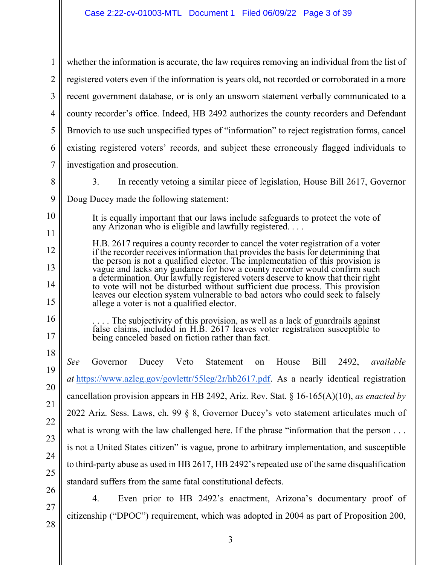1 2 3 4 5 6 7 whether the information is accurate, the law requires removing an individual from the list of registered voters even if the information is years old, not recorded or corroborated in a more recent government database, or is only an unsworn statement verbally communicated to a county recorder's office. Indeed, HB 2492 authorizes the county recorders and Defendant Brnovich to use such unspecified types of "information" to reject registration forms, cancel existing registered voters' records, and subject these erroneously flagged individuals to investigation and prosecution.

8

10

11

12

13

14

15

16

17

18

19

20

21

22

23

24

25

26

3. In recently vetoing a similar piece of legislation, House Bill 2617, Governor

9 Doug Ducey made the following statement:

> It is equally important that our laws include safeguards to protect the vote of any Arizonan who is eligible and lawfully registered. . . .

H.B. 2617 requires a county recorder to cancel the voter registration of a voter if the recorder receives information that provides the basis for determining that the person is not a qualified elector. The implementation of this provision is vague and lacks any guidance for how a county recorder would confirm such a determination. Our lawfully registered voters deserve to know that their right to vote will not be disturbed without sufficient due process. This provision leaves our election system vulnerable to bad actors who could seek to falsely allege a voter is not a qualified elector.

. . . . The subjectivity of this provision, as well as a lack of guardrails against false claims, included in H.B. 2617 leaves voter registration susceptible to being canceled based on fiction rather than fact.

*See* Governor Ducey Veto Statement on House Bill 2492, *available at* [https://www.azleg.gov/govlettr/55leg/2r/hb2617.pdf.](https://www.azleg.gov/govlettr/55leg/2r/hb2617.pdf) As a nearly identical registration cancellation provision appears in HB 2492, Ariz. Rev. Stat. § 16-165(A)(10), *as enacted by* 2022 Ariz. Sess. Laws, ch. 99 § 8, Governor Ducey's veto statement articulates much of what is wrong with the law challenged here. If the phrase "information that the person . . . is not a United States citizen" is vague, prone to arbitrary implementation, and susceptible to third-party abuse as used in HB 2617, HB 2492's repeated use of the same disqualification standard suffers from the same fatal constitutional defects.

4. Even prior to HB 2492's enactment, Arizona's documentary proof of citizenship ("DPOC") requirement, which was adopted in 2004 as part of Proposition 200,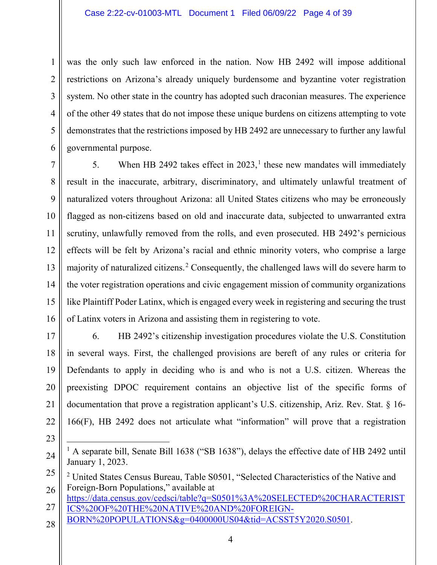3 4 5 6 was the only such law enforced in the nation. Now HB 2492 will impose additional restrictions on Arizona's already uniquely burdensome and byzantine voter registration system. No other state in the country has adopted such draconian measures. The experience of the other 49 states that do not impose these unique burdens on citizens attempting to vote demonstrates that the restrictions imposed by HB 2492 are unnecessary to further any lawful governmental purpose.

7 8 9 10 11 12 13 14 15 16 5. When HB 2492 takes effect in  $2023$ ,<sup>[1](#page-3-0)</sup> these new mandates will immediately result in the inaccurate, arbitrary, discriminatory, and ultimately unlawful treatment of naturalized voters throughout Arizona: all United States citizens who may be erroneously flagged as non-citizens based on old and inaccurate data, subjected to unwarranted extra scrutiny, unlawfully removed from the rolls, and even prosecuted. HB 2492's pernicious effects will be felt by Arizona's racial and ethnic minority voters, who comprise a large majority of naturalized citizens.<sup>[2](#page-3-1)</sup> Consequently, the challenged laws will do severe harm to the voter registration operations and civic engagement mission of community organizations like Plaintiff Poder Latinx, which is engaged every week in registering and securing the trust of Latinx voters in Arizona and assisting them in registering to vote.

17 18

19

20

21

22

1

2

6. HB 2492's citizenship investigation procedures violate the U.S. Constitution in several ways. First, the challenged provisions are bereft of any rules or criteria for Defendants to apply in deciding who is and who is not a U.S. citizen. Whereas the preexisting DPOC requirement contains an objective list of the specific forms of documentation that prove a registration applicant's U.S. citizenship, Ariz. Rev. Stat. § 16- 166(F), HB 2492 does not articulate what "information" will prove that a registration

- 27 [https://data.census.gov/cedsci/table?q=S0501%3A%20SELECTED%20CHARACTERIST](https://data.census.gov/cedsci/table?q=S0501%3A%20SELECTED%20CHARACTERISTICS%20OF%20THE%20NATIVE%20AND%20FOREIGN-BORN%20POPULATIONS&g=0400000US04&tid=ACSST5Y2020.S0501) [ICS%20OF%20THE%20NATIVE%20AND%20FOREIGN-](https://data.census.gov/cedsci/table?q=S0501%3A%20SELECTED%20CHARACTERISTICS%20OF%20THE%20NATIVE%20AND%20FOREIGN-BORN%20POPULATIONS&g=0400000US04&tid=ACSST5Y2020.S0501)
- [BORN%20POPULATIONS&g=0400000US04&tid=ACSST5Y2020.S0501.](https://data.census.gov/cedsci/table?q=S0501%3A%20SELECTED%20CHARACTERISTICS%20OF%20THE%20NATIVE%20AND%20FOREIGN-BORN%20POPULATIONS&g=0400000US04&tid=ACSST5Y2020.S0501)
- 28

<span id="page-3-0"></span><sup>24</sup> <sup>1</sup> A separate bill, Senate Bill 1638 ("SB 1638"), delays the effective date of HB 2492 until January 1, 2023.

<span id="page-3-1"></span><sup>25</sup> 26 <sup>2</sup> United States Census Bureau, Table S0501, "Selected Characteristics of the Native and Foreign-Born Populations," available at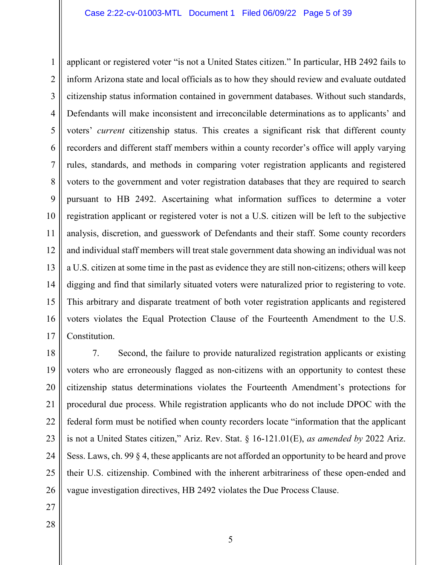1 2 3 4 5 6 7 8 9 10 11 12 13 14 15 16 17 applicant or registered voter "is not a United States citizen." In particular, HB 2492 fails to inform Arizona state and local officials as to how they should review and evaluate outdated citizenship status information contained in government databases. Without such standards, Defendants will make inconsistent and irreconcilable determinations as to applicants' and voters' *current* citizenship status. This creates a significant risk that different county recorders and different staff members within a county recorder's office will apply varying rules, standards, and methods in comparing voter registration applicants and registered voters to the government and voter registration databases that they are required to search pursuant to HB 2492. Ascertaining what information suffices to determine a voter registration applicant or registered voter is not a U.S. citizen will be left to the subjective analysis, discretion, and guesswork of Defendants and their staff. Some county recorders and individual staff members will treat stale government data showing an individual was not a U.S. citizen at some time in the past as evidence they are still non-citizens; others will keep digging and find that similarly situated voters were naturalized prior to registering to vote. This arbitrary and disparate treatment of both voter registration applicants and registered voters violates the Equal Protection Clause of the Fourteenth Amendment to the U.S. Constitution.

18 19 20 21 22 23 24 25 26 7. Second, the failure to provide naturalized registration applicants or existing voters who are erroneously flagged as non-citizens with an opportunity to contest these citizenship status determinations violates the Fourteenth Amendment's protections for procedural due process. While registration applicants who do not include DPOC with the federal form must be notified when county recorders locate "information that the applicant is not a United States citizen," Ariz. Rev. Stat. § 16-121.01(E), *as amended by* 2022 Ariz. Sess. Laws, ch. 99 § 4, these applicants are not afforded an opportunity to be heard and prove their U.S. citizenship. Combined with the inherent arbitrariness of these open-ended and vague investigation directives, HB 2492 violates the Due Process Clause.

- 27
- 28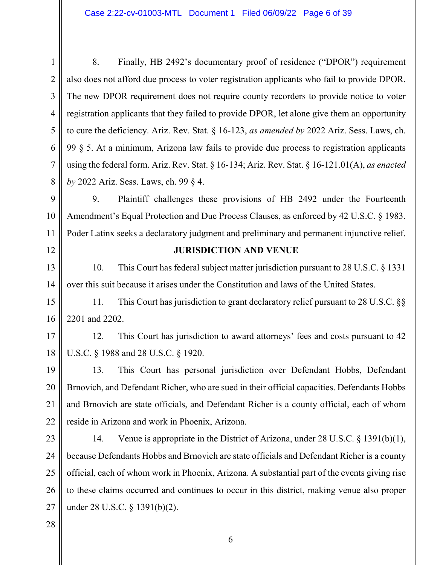1 2 3 4 5 6 7 8 8. Finally, HB 2492's documentary proof of residence ("DPOR") requirement also does not afford due process to voter registration applicants who fail to provide DPOR. The new DPOR requirement does not require county recorders to provide notice to voter registration applicants that they failed to provide DPOR, let alone give them an opportunity to cure the deficiency. Ariz. Rev. Stat. § 16-123, *as amended by* 2022 Ariz. Sess. Laws, ch. 99 § 5. At a minimum, Arizona law fails to provide due process to registration applicants using the federal form. Ariz. Rev. Stat. § 16-134; Ariz. Rev. Stat. § 16-121.01(A), *as enacted by* 2022 Ariz. Sess. Laws, ch. 99 § 4.

9 10 11 9. Plaintiff challenges these provisions of HB 2492 under the Fourteenth Amendment's Equal Protection and Due Process Clauses, as enforced by 42 U.S.C. § 1983. Poder Latinx seeks a declaratory judgment and preliminary and permanent injunctive relief.

12

## **JURISDICTION AND VENUE**

13 14 10. This Court has federal subject matter jurisdiction pursuant to 28 U.S.C. § 1331 over this suit because it arises under the Constitution and laws of the United States.

15 16 11. This Court has jurisdiction to grant declaratory relief pursuant to 28 U.S.C. §§ 2201 and 2202.

17 18 12. This Court has jurisdiction to award attorneys' fees and costs pursuant to 42 U.S.C. § 1988 and 28 U.S.C. § 1920.

19 20 21 22 13. This Court has personal jurisdiction over Defendant Hobbs, Defendant Brnovich, and Defendant Richer, who are sued in their official capacities. Defendants Hobbs and Brnovich are state officials, and Defendant Richer is a county official, each of whom reside in Arizona and work in Phoenix, Arizona.

23 24 25 26 27 14. Venue is appropriate in the District of Arizona, under 28 U.S.C. § 1391(b)(1), because Defendants Hobbs and Brnovich are state officials and Defendant Richer is a county official, each of whom work in Phoenix, Arizona. A substantial part of the events giving rise to these claims occurred and continues to occur in this district, making venue also proper under 28 U.S.C. § 1391(b)(2).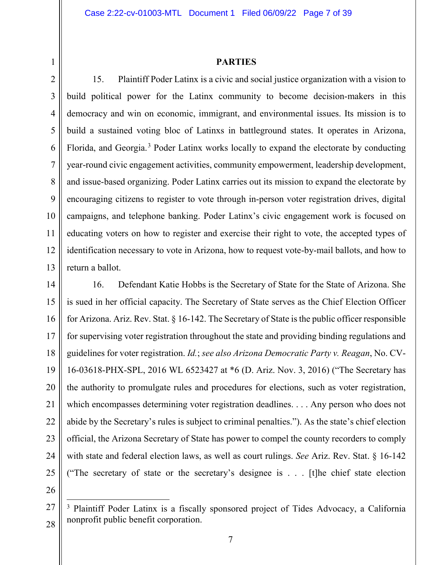### **PARTIES**

2 3 4 5 6 7 8 9 10 11 12 13 15. Plaintiff Poder Latinx is a civic and social justice organization with a vision to build political power for the Latinx community to become decision-makers in this democracy and win on economic, immigrant, and environmental issues. Its mission is to build a sustained voting bloc of Latinxs in battleground states. It operates in Arizona, Florida, and Georgia.<sup>[3](#page-6-0)</sup> Poder Latinx works locally to expand the electorate by conducting year-round civic engagement activities, community empowerment, leadership development, and issue-based organizing. Poder Latinx carries out its mission to expand the electorate by encouraging citizens to register to vote through in-person voter registration drives, digital campaigns, and telephone banking. Poder Latinx's civic engagement work is focused on educating voters on how to register and exercise their right to vote, the accepted types of identification necessary to vote in Arizona, how to request vote-by-mail ballots, and how to return a ballot.

14 15 16 17 18 19 20 21 22 23 24 25 16. Defendant Katie Hobbs is the Secretary of State for the State of Arizona. She is sued in her official capacity. The Secretary of State serves as the Chief Election Officer for Arizona. Ariz. Rev. Stat. § 16-142. The Secretary of State is the public officer responsible for supervising voter registration throughout the state and providing binding regulations and guidelines for voter registration. *Id.*; *see also Arizona Democratic Party v. Reagan*, No. CV-16-03618-PHX-SPL, 2016 WL 6523427 at \*6 (D. Ariz. Nov. 3, 2016) ("The Secretary has the authority to promulgate rules and procedures for elections, such as voter registration, which encompasses determining voter registration deadlines. . . . Any person who does not abide by the Secretary's rules is subject to criminal penalties."). As the state's chief election official, the Arizona Secretary of State has power to compel the county recorders to comply with state and federal election laws, as well as court rulings. *See* Ariz. Rev. Stat. § 16-142 ("The secretary of state or the secretary's designee is . . . [t]he chief state election

26

<span id="page-6-0"></span><sup>27</sup> 28 <sup>3</sup> Plaintiff Poder Latinx is a fiscally sponsored project of Tides Advocacy, a California nonprofit public benefit corporation.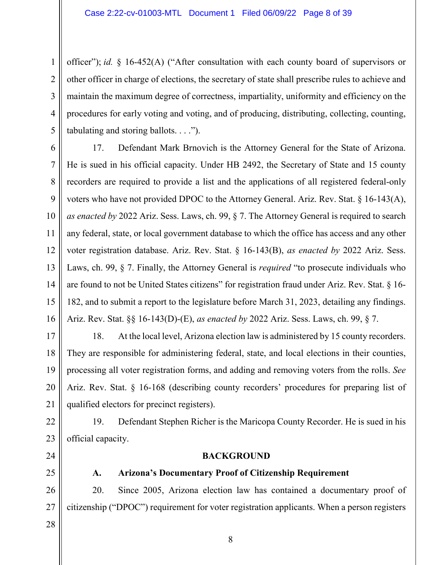1 2 3 4 5 officer"); *id.* § 16-452(A) ("After consultation with each county board of supervisors or other officer in charge of elections, the secretary of state shall prescribe rules to achieve and maintain the maximum degree of correctness, impartiality, uniformity and efficiency on the procedures for early voting and voting, and of producing, distributing, collecting, counting, tabulating and storing ballots. . . .").

6 7 8 9 10 11 12 13 14 15 16 17. Defendant Mark Brnovich is the Attorney General for the State of Arizona. He is sued in his official capacity. Under HB 2492, the Secretary of State and 15 county recorders are required to provide a list and the applications of all registered federal-only voters who have not provided DPOC to the Attorney General. Ariz. Rev. Stat. § 16-143(A), *as enacted by* 2022 Ariz. Sess. Laws, ch. 99, § 7. The Attorney General is required to search any federal, state, or local government database to which the office has access and any other voter registration database. Ariz. Rev. Stat. § 16-143(B), *as enacted by* 2022 Ariz. Sess. Laws, ch. 99, § 7. Finally, the Attorney General is *required* "to prosecute individuals who are found to not be United States citizens" for registration fraud under Ariz. Rev. Stat. § 16- 182, and to submit a report to the legislature before March 31, 2023, detailing any findings. Ariz. Rev. Stat. §§ 16-143(D)-(E), *as enacted by* 2022 Ariz. Sess. Laws, ch. 99, § 7.

17 18 19 20 21 18. At the local level, Arizona election law is administered by 15 county recorders. They are responsible for administering federal, state, and local elections in their counties, processing all voter registration forms, and adding and removing voters from the rolls. *See* Ariz. Rev. Stat. § 16-168 (describing county recorders' procedures for preparing list of qualified electors for precinct registers).

22 23 19. Defendant Stephen Richer is the Maricopa County Recorder. He is sued in his official capacity.

- 24
- 25

# **A. Arizona's Documentary Proof of Citizenship Requirement**

**BACKGROUND**

26 27 20. Since 2005, Arizona election law has contained a documentary proof of citizenship ("DPOC") requirement for voter registration applicants. When a person registers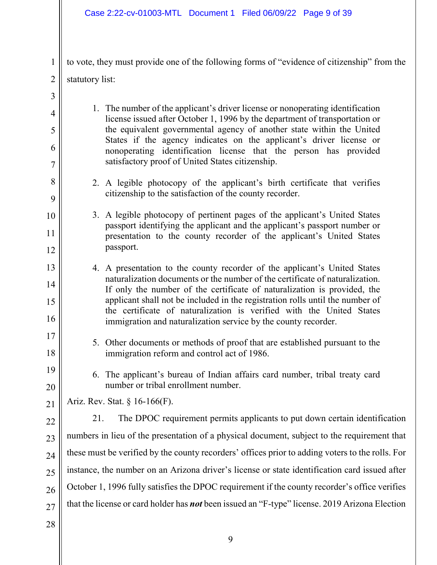to vote, they must provide one of the following forms of "evidence of citizenship" from the statutory list:

- 3 4 5 6 7 8 9 10 11 12 13 14 15 16 17 18 19 20 21 22 23 24 25 26 27 1. The number of the applicant's driver license or nonoperating identification license issued after October 1, 1996 by the department of transportation or the equivalent governmental agency of another state within the United States if the agency indicates on the applicant's driver license or nonoperating identification license that the person has provided satisfactory proof of United States citizenship. 2. A legible photocopy of the applicant's birth certificate that verifies citizenship to the satisfaction of the county recorder. 3. A legible photocopy of pertinent pages of the applicant's United States passport identifying the applicant and the applicant's passport number or presentation to the county recorder of the applicant's United States passport. 4. A presentation to the county recorder of the applicant's United States naturalization documents or the number of the certificate of naturalization. If only the number of the certificate of naturalization is provided, the applicant shall not be included in the registration rolls until the number of the certificate of naturalization is verified with the United States immigration and naturalization service by the county recorder. 5. Other documents or methods of proof that are established pursuant to the immigration reform and control act of 1986. 6. The applicant's bureau of Indian affairs card number, tribal treaty card number or tribal enrollment number. Ariz. Rev. Stat. § 16-166(F). 21. The DPOC requirement permits applicants to put down certain identification numbers in lieu of the presentation of a physical document, subject to the requirement that these must be verified by the county recorders' offices prior to adding voters to the rolls. For instance, the number on an Arizona driver's license or state identification card issued after October 1, 1996 fully satisfies the DPOC requirement if the county recorder's office verifies that the license or card holder has *not* been issued an "F-type" license. 2019 Arizona Election
- 28

1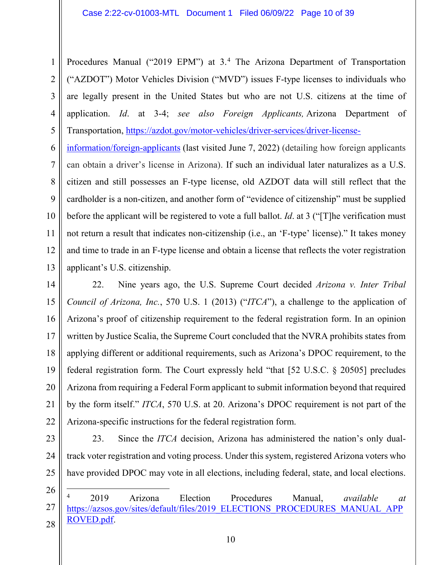1 2 3 4 5 Procedures Manual ("2019 EPM") at 3.<sup>[4](#page-9-0)</sup> The Arizona Department of Transportation ("AZDOT") Motor Vehicles Division ("MVD") issues F-type licenses to individuals who are legally present in the United States but who are not U.S. citizens at the time of application. *Id*. at 3-4; *see also Foreign Applicants,* Arizona Department of Transportation, [https://azdot.gov/motor-vehicles/driver-services/driver-license-](https://azdot.gov/motor-vehicles/driver-services/driver-license-information/foreign-applicants)

6 7 8 9 10 11 12 13 [information/foreign-applicants](https://azdot.gov/motor-vehicles/driver-services/driver-license-information/foreign-applicants) (last visited June 7, 2022) (detailing how foreign applicants can obtain a driver's license in Arizona). If such an individual later naturalizes as a U.S. citizen and still possesses an F-type license, old AZDOT data will still reflect that the cardholder is a non-citizen, and another form of "evidence of citizenship" must be supplied before the applicant will be registered to vote a full ballot. *Id*. at 3 ("[T]he verification must not return a result that indicates non-citizenship (i.e., an 'F-type' license)." It takes money and time to trade in an F-type license and obtain a license that reflects the voter registration applicant's U.S. citizenship.

14 15 16 17 18 19 20 21 22 22. Nine years ago, the U.S. Supreme Court decided *Arizona v. Inter Tribal Council of Arizona, Inc.*, 570 U.S. 1 (2013) ("*ITCA*"), a challenge to the application of Arizona's proof of citizenship requirement to the federal registration form. In an opinion written by Justice Scalia, the Supreme Court concluded that the NVRA prohibits states from applying different or additional requirements, such as Arizona's DPOC requirement, to the federal registration form. The Court expressly held "that [52 U.S.C. § 20505] precludes Arizona from requiring a Federal Form applicant to submit information beyond that required by the form itself." *ITCA*, 570 U.S. at 20. Arizona's DPOC requirement is not part of the Arizona-specific instructions for the federal registration form.

23 24

23. Since the *ITCA* decision, Arizona has administered the nation's only dualtrack voter registration and voting process. Under this system, registered Arizona voters who have provided DPOC may vote in all elections, including federal, state, and local elections.

26

<span id="page-9-0"></span><sup>27</sup> 28 4 2019 Arizona Election Procedures Manual, *available at* [https://azsos.gov/sites/default/files/2019\\_ELECTIONS\\_PROCEDURES\\_MANUAL\\_APP](https://azsos.gov/sites/default/files/2019_ELECTIONS_PROCEDURES_MANUAL_APPROVED.pdf) [ROVED.pdf.](https://azsos.gov/sites/default/files/2019_ELECTIONS_PROCEDURES_MANUAL_APPROVED.pdf)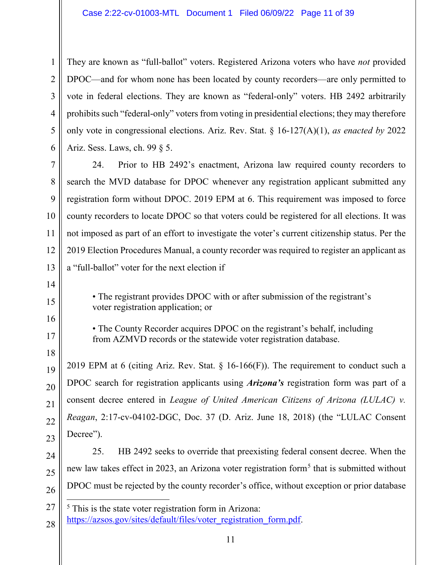1 2 3 4 5 6 They are known as "full-ballot" voters. Registered Arizona voters who have *not* provided DPOC—and for whom none has been located by county recorders—are only permitted to vote in federal elections. They are known as "federal-only" voters. HB 2492 arbitrarily prohibits such "federal-only" voters from voting in presidential elections; they may therefore only vote in congressional elections. Ariz. Rev. Stat. § 16-127(A)(1), *as enacted by* 2022 Ariz. Sess. Laws, ch. 99 § 5.

7 8 9 10 11 12 13 24. Prior to HB 2492's enactment, Arizona law required county recorders to search the MVD database for DPOC whenever any registration applicant submitted any registration form without DPOC. 2019 EPM at 6. This requirement was imposed to force county recorders to locate DPOC so that voters could be registered for all elections. It was not imposed as part of an effort to investigate the voter's current citizenship status. Per the 2019 Election Procedures Manual, a county recorder was required to register an applicant as a "full-ballot" voter for the next election if

> • The registrant provides DPOC with or after submission of the registrant's voter registration application; or

> • The County Recorder acquires DPOC on the registrant's behalf, including from AZMVD records or the statewide voter registration database.

19 20 21 22 23 2019 EPM at 6 (citing Ariz. Rev. Stat.  $\S$  16-166(F)). The requirement to conduct such a DPOC search for registration applicants using *Arizona's* registration form was part of a consent decree entered in *League of United American Citizens of Arizona (LULAC) v. Reagan*, 2:17-cv-04102-DGC, Doc. 37 (D. Ariz. June 18, 2018) (the "LULAC Consent Decree").

24 25 26 25. HB 2492 seeks to override that preexisting federal consent decree. When the new law takes effect in 2023, an Arizona voter registration form<sup>[5](#page-10-0)</sup> that is submitted without DPOC must be rejected by the county recorder's office, without exception or prior database

28

14

15

16

17

<span id="page-10-0"></span><sup>27</sup> 5 This is the state voter registration form in Arizona:

[https://azsos.gov/sites/default/files/voter\\_registration\\_form.pdf.](https://azsos.gov/sites/default/files/voter_registration_form.pdf)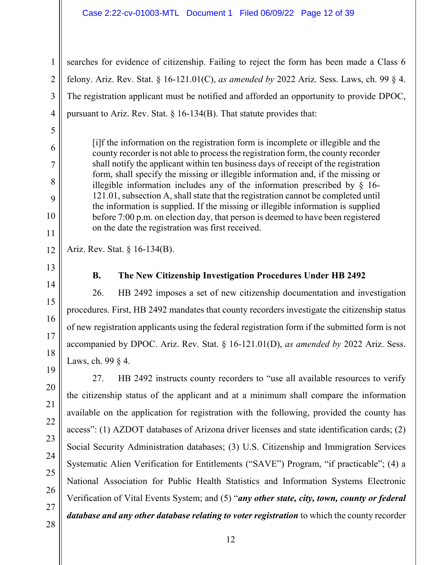### Case 2:22-cv-01003-MTL Document 1 Filed 06/09/22 Page 12 of 39

searches for evidence of citizenship. Failing to reject the form has been made a Class 6 felony. Ariz. Rev. Stat. § 16-121.01(C), *as amended by* 2022 Ariz. Sess. Laws, ch. 99 § 4. The registration applicant must be notified and afforded an opportunity to provide DPOC, pursuant to Ariz. Rev. Stat.  $\S 16-134(B)$ . That statute provides that:

[i]f the information on the registration form is incomplete or illegible and the county recorder is not able to process the registration form, the county recorder shall notify the applicant within ten business days of receipt of the registration form, shall specify the missing or illegible information and, if the missing or illegible information includes any of the information prescribed by § 16- 121.01, subsection A, shall state that the registration cannot be completed until the information is supplied. If the missing or illegible information is supplied before 7:00 p.m. on election day, that person is deemed to have been registered on the date the registration was first received.

12 Ariz. Rev. Stat. § 16-134(B).

13

14

1

2

3

4

5

6

7

8

9

10

11

# **B. The New Citizenship Investigation Procedures Under HB 2492**

26. HB 2492 imposes a set of new citizenship documentation and investigation procedures. First, HB 2492 mandates that county recorders investigate the citizenship status of new registration applicants using the federal registration form if the submitted form is not accompanied by DPOC. Ariz. Rev. Stat. § 16-121.01(D), *as amended by* 2022 Ariz. Sess. Laws, ch. 99 § 4.

27. HB 2492 instructs county recorders to "use all available resources to verify the citizenship status of the applicant and at a minimum shall compare the information available on the application for registration with the following, provided the county has access": (1) AZDOT databases of Arizona driver licenses and state identification cards; (2) Social Security Administration databases; (3) U.S. Citizenship and Immigration Services Systematic Alien Verification for Entitlements ("SAVE") Program, "if practicable"; (4) a National Association for Public Health Statistics and Information Systems Electronic Verification of Vital Events System; and (5) "*any other state, city, town, county or federal database and any other database relating to voter registration* to which the county recorder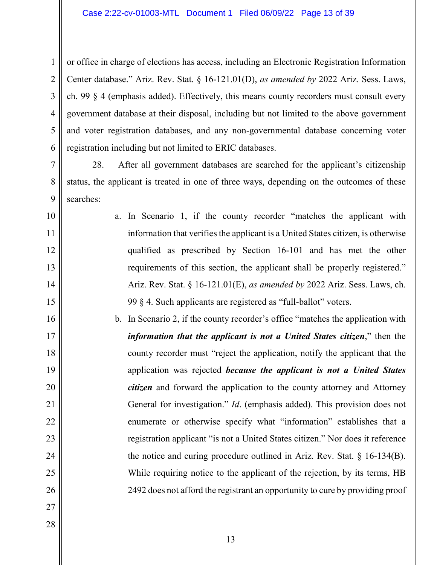1 2 3 4 5 6 or office in charge of elections has access, including an Electronic Registration Information Center database." Ariz. Rev. Stat. § 16-121.01(D), *as amended by* 2022 Ariz. Sess. Laws, ch. 99 § 4 (emphasis added). Effectively, this means county recorders must consult every government database at their disposal, including but not limited to the above government and voter registration databases, and any non-governmental database concerning voter registration including but not limited to ERIC databases.

7 8 9 28. After all government databases are searched for the applicant's citizenship status, the applicant is treated in one of three ways, depending on the outcomes of these searches:

- 10 11 12 13 14 15 a. In Scenario 1, if the county recorder "matches the applicant with information that verifies the applicant is a United States citizen, is otherwise qualified as prescribed by Section 16-101 and has met the other requirements of this section, the applicant shall be properly registered." Ariz. Rev. Stat. § 16-121.01(E), *as amended by* 2022 Ariz. Sess. Laws, ch. 99 § 4. Such applicants are registered as "full-ballot" voters.
- 16 17 18 19 20 21 22 23 24 25 26 b. In Scenario 2, if the county recorder's office "matches the application with *information that the applicant is not a United States citizen*," then the county recorder must "reject the application, notify the applicant that the application was rejected *because the applicant is not a United States citizen* and forward the application to the county attorney and Attorney General for investigation." *Id*. (emphasis added). This provision does not enumerate or otherwise specify what "information" establishes that a registration applicant "is not a United States citizen." Nor does it reference the notice and curing procedure outlined in Ariz. Rev. Stat.  $\S$  16-134(B). While requiring notice to the applicant of the rejection, by its terms, HB 2492 does not afford the registrant an opportunity to cure by providing proof
- 27 28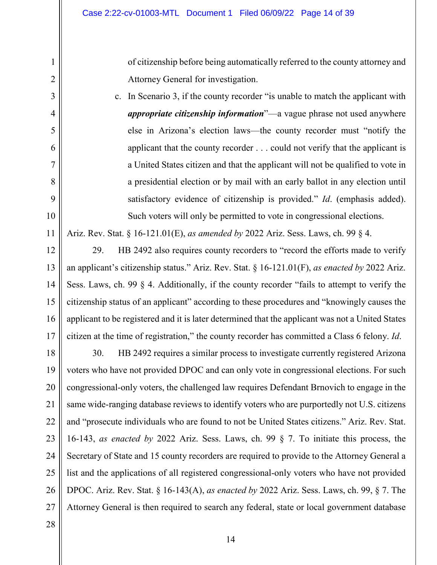of citizenship before being automatically referred to the county attorney and Attorney General for investigation.

c. In Scenario 3, if the county recorder "is unable to match the applicant with *appropriate citizenship information*"—a vague phrase not used anywhere else in Arizona's election laws—the county recorder must "notify the applicant that the county recorder . . . could not verify that the applicant is a United States citizen and that the applicant will not be qualified to vote in a presidential election or by mail with an early ballot in any election until satisfactory evidence of citizenship is provided." *Id*. (emphasis added). Such voters will only be permitted to vote in congressional elections.

Ariz. Rev. Stat. § 16-121.01(E), *as amended by* 2022 Ariz. Sess. Laws, ch. 99 § 4.

12 13 14 15 16 17 29. HB 2492 also requires county recorders to "record the efforts made to verify an applicant's citizenship status." Ariz. Rev. Stat. § 16-121.01(F), *as enacted by* 2022 Ariz. Sess. Laws, ch. 99 § 4. Additionally, if the county recorder "fails to attempt to verify the citizenship status of an applicant" according to these procedures and "knowingly causes the applicant to be registered and it is later determined that the applicant was not a United States citizen at the time of registration," the county recorder has committed a Class 6 felony. *Id*.

18 19 20 21 22 23 24 25 26 27 30. HB 2492 requires a similar process to investigate currently registered Arizona voters who have not provided DPOC and can only vote in congressional elections. For such congressional-only voters, the challenged law requires Defendant Brnovich to engage in the same wide-ranging database reviews to identify voters who are purportedly not U.S. citizens and "prosecute individuals who are found to not be United States citizens." Ariz. Rev. Stat. 16-143, *as enacted by* 2022 Ariz. Sess. Laws, ch. 99 § 7. To initiate this process, the Secretary of State and 15 county recorders are required to provide to the Attorney General a list and the applications of all registered congressional-only voters who have not provided DPOC. Ariz. Rev. Stat. § 16-143(A), *as enacted by* 2022 Ariz. Sess. Laws, ch. 99, § 7. The Attorney General is then required to search any federal, state or local government database

1

2

3

4

5

6

7

8

9

10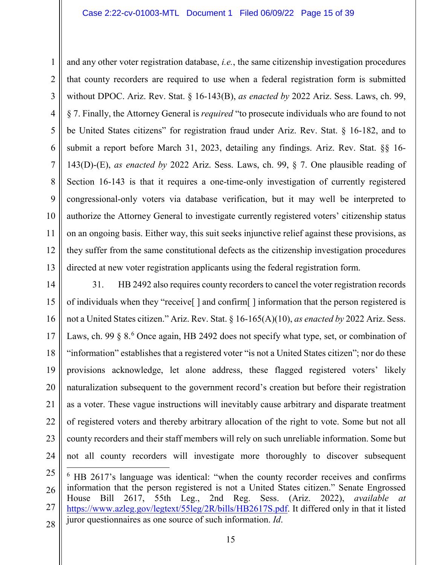1 2 3 4 5 6 7 8 9 10 11 12 13 and any other voter registration database, *i.e.*, the same citizenship investigation procedures that county recorders are required to use when a federal registration form is submitted without DPOC. Ariz. Rev. Stat. § 16-143(B), *as enacted by* 2022 Ariz. Sess. Laws, ch. 99, § 7. Finally, the Attorney General is *required* "to prosecute individuals who are found to not be United States citizens" for registration fraud under Ariz. Rev. Stat. § 16-182, and to submit a report before March 31, 2023, detailing any findings. Ariz. Rev. Stat. §§ 16- 143(D)-(E), *as enacted by* 2022 Ariz. Sess. Laws, ch. 99, § 7. One plausible reading of Section 16-143 is that it requires a one-time-only investigation of currently registered congressional-only voters via database verification, but it may well be interpreted to authorize the Attorney General to investigate currently registered voters' citizenship status on an ongoing basis. Either way, this suit seeks injunctive relief against these provisions, as they suffer from the same constitutional defects as the citizenship investigation procedures directed at new voter registration applicants using the federal registration form.

14 15 16 17 18 19 20 21 22 23 24 31. HB 2492 also requires county recorders to cancel the voter registration records of individuals when they "receive[ ] and confirm[ ] information that the person registered is not a United States citizen." Ariz. Rev. Stat. § 16-165(A)(10), *as enacted by* 2022 Ariz. Sess. Laws, ch. 99 § 8.<sup>[6](#page-14-0)</sup> Once again, HB 2492 does not specify what type, set, or combination of "information" establishes that a registered voter "is not a United States citizen"; nor do these provisions acknowledge, let alone address, these flagged registered voters' likely naturalization subsequent to the government record's creation but before their registration as a voter. These vague instructions will inevitably cause arbitrary and disparate treatment of registered voters and thereby arbitrary allocation of the right to vote. Some but not all county recorders and their staff members will rely on such unreliable information. Some but not all county recorders will investigate more thoroughly to discover subsequent

<span id="page-14-0"></span><sup>25</sup> 26 27 28 6 HB 2617's language was identical: "when the county recorder receives and confirms information that the person registered is not a United States citizen." Senate Engrossed House Bill 2617, 55th Leg., 2nd Reg. Sess. (Ariz. 2022), *available at* [https://www.azleg.gov/legtext/55leg/2R/bills/HB2617S.pdf.](https://www.azleg.gov/legtext/55leg/2R/bills/HB2617S.pdf) It differed only in that it listed juror questionnaires as one source of such information. *Id*.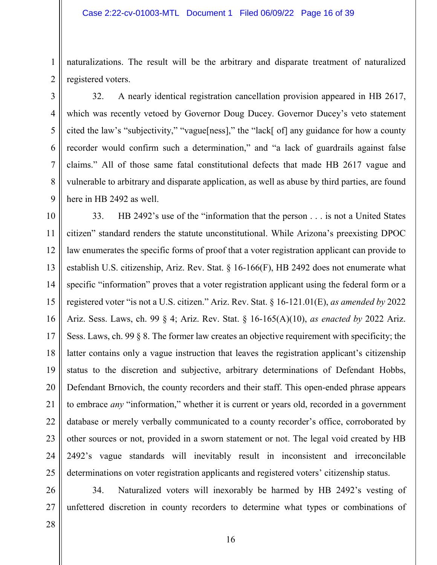naturalizations. The result will be the arbitrary and disparate treatment of naturalized registered voters.

5 6 7 8 9 32. A nearly identical registration cancellation provision appeared in HB 2617, which was recently vetoed by Governor Doug Ducey. Governor Ducey's veto statement cited the law's "subjectivity," "vague[ness]," the "lack[ of] any guidance for how a county recorder would confirm such a determination," and "a lack of guardrails against false claims." All of those same fatal constitutional defects that made HB 2617 vague and vulnerable to arbitrary and disparate application, as well as abuse by third parties, are found here in HB 2492 as well.

10 11 12 13 14 15 16 17 18 19 20 21 22 23 24 25 33. HB 2492's use of the "information that the person . . . is not a United States citizen" standard renders the statute unconstitutional. While Arizona's preexisting DPOC law enumerates the specific forms of proof that a voter registration applicant can provide to establish U.S. citizenship, Ariz. Rev. Stat. § 16-166(F), HB 2492 does not enumerate what specific "information" proves that a voter registration applicant using the federal form or a registered voter "is not a U.S. citizen." Ariz. Rev. Stat. § 16-121.01(E), *as amended by* 2022 Ariz. Sess. Laws, ch. 99 § 4; Ariz. Rev. Stat. § 16-165(A)(10), *as enacted by* 2022 Ariz. Sess. Laws, ch. 99 § 8. The former law creates an objective requirement with specificity; the latter contains only a vague instruction that leaves the registration applicant's citizenship status to the discretion and subjective, arbitrary determinations of Defendant Hobbs, Defendant Brnovich, the county recorders and their staff. This open-ended phrase appears to embrace *any* "information," whether it is current or years old, recorded in a government database or merely verbally communicated to a county recorder's office, corroborated by other sources or not, provided in a sworn statement or not. The legal void created by HB 2492's vague standards will inevitably result in inconsistent and irreconcilable determinations on voter registration applicants and registered voters' citizenship status.

26 27 34. Naturalized voters will inexorably be harmed by HB 2492's vesting of unfettered discretion in county recorders to determine what types or combinations of

28

1

2

3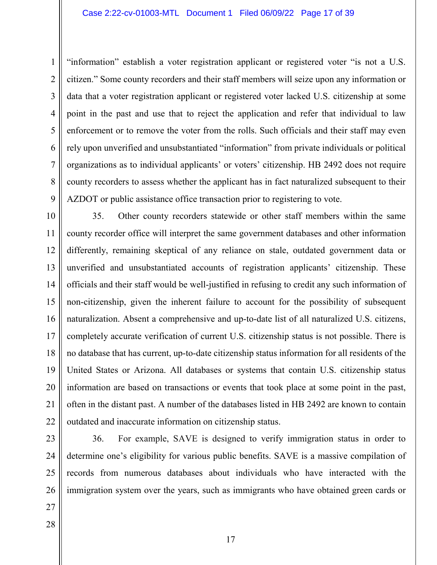3 4 5 6 7 8 9 "information" establish a voter registration applicant or registered voter "is not a U.S. citizen." Some county recorders and their staff members will seize upon any information or data that a voter registration applicant or registered voter lacked U.S. citizenship at some point in the past and use that to reject the application and refer that individual to law enforcement or to remove the voter from the rolls. Such officials and their staff may even rely upon unverified and unsubstantiated "information" from private individuals or political organizations as to individual applicants' or voters' citizenship. HB 2492 does not require county recorders to assess whether the applicant has in fact naturalized subsequent to their AZDOT or public assistance office transaction prior to registering to vote.

10 11 12 13 14 15 16 17 18 19 20 21 22 35. Other county recorders statewide or other staff members within the same county recorder office will interpret the same government databases and other information differently, remaining skeptical of any reliance on stale, outdated government data or unverified and unsubstantiated accounts of registration applicants' citizenship. These officials and their staff would be well-justified in refusing to credit any such information of non-citizenship, given the inherent failure to account for the possibility of subsequent naturalization. Absent a comprehensive and up-to-date list of all naturalized U.S. citizens, completely accurate verification of current U.S. citizenship status is not possible. There is no database that has current, up-to-date citizenship status information for all residents of the United States or Arizona. All databases or systems that contain U.S. citizenship status information are based on transactions or events that took place at some point in the past, often in the distant past. A number of the databases listed in HB 2492 are known to contain outdated and inaccurate information on citizenship status.

23 24 25

1

2

26 36. For example, SAVE is designed to verify immigration status in order to determine one's eligibility for various public benefits. SAVE is a massive compilation of records from numerous databases about individuals who have interacted with the immigration system over the years, such as immigrants who have obtained green cards or

- 27
- 28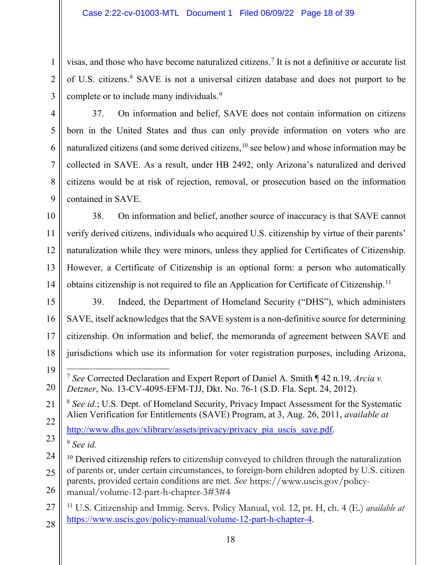visas, and those who have become naturalized citizens.[7](#page-17-0) It is not a definitive or accurate list of U.S. citizens.[8](#page-17-1) SAVE is not a universal citizen database and does not purport to be complete or to include many individuals.<sup>[9](#page-17-2)</sup>

1

2

3

37. On information and belief, SAVE does not contain information on citizens born in the United States and thus can only provide information on voters who are naturalized citizens (and some derived citizens,  $10$  see below) and whose information may be collected in SAVE. As a result, under HB 2492, only Arizona's naturalized and derived citizens would be at risk of rejection, removal, or prosecution based on the information contained in SAVE.

10 11 12 13 14 38. On information and belief, another source of inaccuracy is that SAVE cannot verify derived citizens, individuals who acquired U.S. citizenship by virtue of their parents' naturalization while they were minors, unless they applied for Certificates of Citizenship. However, a Certificate of Citizenship is an optional form: a person who automatically obtains citizenship is not required to file an Application for Certificate of Citizenship.<sup>[11](#page-17-4)</sup>

- 15 16 17 18 39. Indeed, the Department of Homeland Security ("DHS"), which administers SAVE, itself acknowledges that the SAVE system is a non-definitive source for determining citizenship. On information and belief, the memoranda of agreement between SAVE and jurisdictions which use its information for voter registration purposes, including Arizona,
- <span id="page-17-0"></span>19 20 7 *See* Corrected Declaration and Expert Report of Daniel A. Smith ¶ 42 n.19, *Arcia v. Detzner*, No. 13-CV-4095-EFM-TJJ, Dkt. No. 76-1 (S.D. Fla. Sept. 24, 2012).

<span id="page-17-1"></span>21 22 <sup>8</sup> *See id*.; U.S. Dept. of Homeland Security, Privacy Impact Assessment for the Systematic Alien Verification for Entitlements (SAVE) Program, at 3, Aug. 26, 2011, *available at* [http://www.dhs.gov/xlibrary/assets/privacy/privacy\\_pia\\_uscis\\_save.pdf.](http://www.dhs.gov/xlibrary/assets/privacy/privacy_pia_uscis_save.pdf)

<span id="page-17-2"></span>23 <sup>9</sup> *See id.*

- <span id="page-17-3"></span>24 25 26  $10$  Derived citizenship refers to citizenship conveyed to children through the naturalization of parents or, under certain circumstances, to foreign-born children adopted by U.S. citizen parents, provided certain conditions are met. *See* https://www.uscis.gov/policymanual/volume-12-part-h-chapter-3#3#4
- <span id="page-17-4"></span>27 28 <sup>11</sup> U.S. Citizenship and Immig. Servs. Policy Manual, vol. 12, pt. H, ch. 4 (E.) *available at* <https://www.uscis.gov/policy-manual/volume-12-part-h-chapter-4>.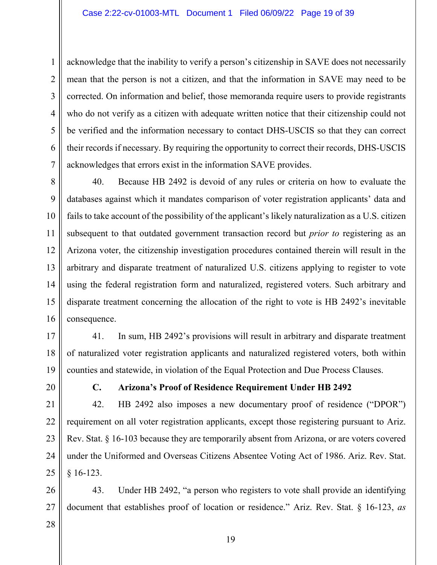3 4 5 6 7 acknowledge that the inability to verify a person's citizenship in SAVE does not necessarily mean that the person is not a citizen, and that the information in SAVE may need to be corrected. On information and belief, those memoranda require users to provide registrants who do not verify as a citizen with adequate written notice that their citizenship could not be verified and the information necessary to contact DHS-USCIS so that they can correct their records if necessary. By requiring the opportunity to correct their records, DHS-USCIS acknowledges that errors exist in the information SAVE provides.

8 9 10 11 12 13 14 15 16 40. Because HB 2492 is devoid of any rules or criteria on how to evaluate the databases against which it mandates comparison of voter registration applicants' data and fails to take account of the possibility of the applicant's likely naturalization as a U.S. citizen subsequent to that outdated government transaction record but *prior to* registering as an Arizona voter, the citizenship investigation procedures contained therein will result in the arbitrary and disparate treatment of naturalized U.S. citizens applying to register to vote using the federal registration form and naturalized, registered voters. Such arbitrary and disparate treatment concerning the allocation of the right to vote is HB 2492's inevitable consequence.

17 18 19 41. In sum, HB 2492's provisions will result in arbitrary and disparate treatment of naturalized voter registration applicants and naturalized registered voters, both within counties and statewide, in violation of the Equal Protection and Due Process Clauses.

20

1

2

# **C. Arizona's Proof of Residence Requirement Under HB 2492**

21 22 23 24 25 42. HB 2492 also imposes a new documentary proof of residence ("DPOR") requirement on all voter registration applicants, except those registering pursuant to Ariz. Rev. Stat. § 16-103 because they are temporarily absent from Arizona, or are voters covered under the Uniformed and Overseas Citizens Absentee Voting Act of 1986. Ariz. Rev. Stat.  $§ 16-123.$ 

26 27 43. Under HB 2492, "a person who registers to vote shall provide an identifying document that establishes proof of location or residence." Ariz. Rev. Stat. § 16-123, *as*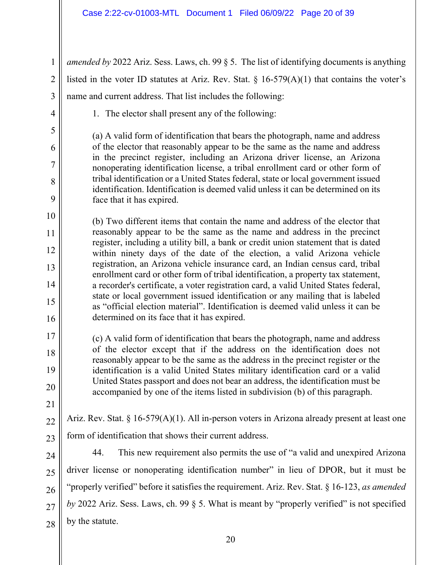| $\mathbf{1}$   | amended by 2022 Ariz. Sess. Laws, ch. 99 $\S$ 5. The list of identifying documents is anything                                                                          |
|----------------|-------------------------------------------------------------------------------------------------------------------------------------------------------------------------|
| $\overline{2}$ | listed in the voter ID statutes at Ariz. Rev. Stat. § 16-579(A)(1) that contains the voter's                                                                            |
| 3              | name and current address. That list includes the following:                                                                                                             |
| 4              | 1. The elector shall present any of the following:                                                                                                                      |
| 5              | (a) A valid form of identification that bears the photograph, name and address                                                                                          |
| 6              | of the elector that reasonably appear to be the same as the name and address                                                                                            |
| 7              | in the precinct register, including an Arizona driver license, an Arizona<br>nonoperating identification license, a tribal enrollment card or other form of             |
| 8              | tribal identification or a United States federal, state or local government issued<br>identification. Identification is deemed valid unless it can be determined on its |
| 9              | face that it has expired.                                                                                                                                               |
| 10             | (b) Two different items that contain the name and address of the elector that                                                                                           |
| 11             | reasonably appear to be the same as the name and address in the precinct<br>register, including a utility bill, a bank or credit union statement that is dated          |
| 12             | within ninety days of the date of the election, a valid Arizona vehicle                                                                                                 |
| 13             | registration, an Arizona vehicle insurance card, an Indian census card, tribal<br>enrollment card or other form of tribal identification, a property tax statement,     |
| 14             | a recorder's certificate, a voter registration card, a valid United States federal,<br>state or local government issued identification or any mailing that is labeled   |
| 15             | as "official election material". Identification is deemed valid unless it can be                                                                                        |
| 16             | determined on its face that it has expired.                                                                                                                             |
| 17             | (c) A valid form of identification that bears the photograph, name and address                                                                                          |
| 18             | of the elector except that if the address on the identification does not<br>reasonably appear to be the same as the address in the precinct register or the             |
| 19             | identification is a valid United States military identification card or a valid<br>United States passport and does not bear an address, the identification must be      |
| 20             | accompanied by one of the items listed in subdivision (b) of this paragraph.                                                                                            |
| 21             |                                                                                                                                                                         |
| 22             | Ariz. Rev. Stat. § 16-579(A)(1). All in-person voters in Arizona already present at least one                                                                           |
| 23             | form of identification that shows their current address.                                                                                                                |
| 24             | This new requirement also permits the use of "a valid and unexpired Arizona"<br>44.                                                                                     |
| 25             | driver license or nonoperating identification number" in lieu of DPOR, but it must be                                                                                   |
| 26             | "properly verified" before it satisfies the requirement. Ariz. Rev. Stat. § 16-123, as amended                                                                          |
| 27             | by 2022 Ariz. Sess. Laws, ch. 99 $\S$ 5. What is meant by "properly verified" is not specified                                                                          |
| 28             | by the statute.                                                                                                                                                         |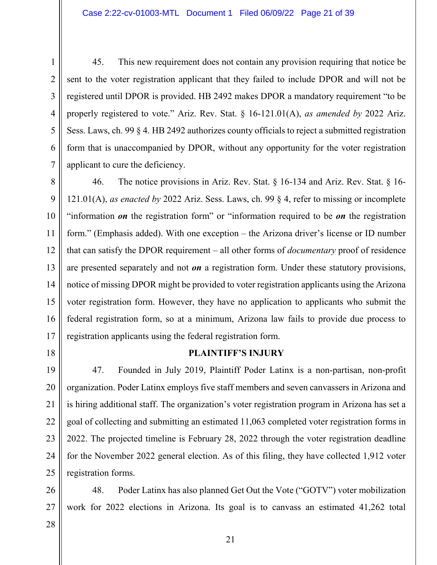3 4 5 6 7 45. This new requirement does not contain any provision requiring that notice be sent to the voter registration applicant that they failed to include DPOR and will not be registered until DPOR is provided. HB 2492 makes DPOR a mandatory requirement "to be properly registered to vote." Ariz. Rev. Stat. § 16-121.01(A), *as amended by* 2022 Ariz. Sess. Laws, ch. 99 § 4. HB 2492 authorizes county officials to reject a submitted registration form that is unaccompanied by DPOR, without any opportunity for the voter registration applicant to cure the deficiency.

8 9 10 11 12 13 14 15 16 17 46. The notice provisions in Ariz. Rev. Stat. § 16-134 and Ariz. Rev. Stat. § 16- 121.01(A), *as enacted by* 2022 Ariz. Sess. Laws, ch. 99 § 4, refer to missing or incomplete "information *on* the registration form" or "information required to be *on* the registration form." (Emphasis added). With one exception – the Arizona driver's license or ID number that can satisfy the DPOR requirement – all other forms of *documentary* proof of residence are presented separately and not *on* a registration form. Under these statutory provisions, notice of missing DPOR might be provided to voter registration applicants using the Arizona voter registration form. However, they have no application to applicants who submit the federal registration form, so at a minimum, Arizona law fails to provide due process to registration applicants using the federal registration form.

18

1

2

# **PLAINTIFF'S INJURY**

19 20 21 22 23 24 25 47. Founded in July 2019, Plaintiff Poder Latinx is a non-partisan, non-profit organization. Poder Latinx employs five staff members and seven canvassers in Arizona and is hiring additional staff. The organization's voter registration program in Arizona has set a goal of collecting and submitting an estimated 11,063 completed voter registration forms in 2022. The projected timeline is February 28, 2022 through the voter registration deadline for the November 2022 general election. As of this filing, they have collected 1,912 voter registration forms.

26 27 48. Poder Latinx has also planned Get Out the Vote ("GOTV") voter mobilization work for 2022 elections in Arizona. Its goal is to canvass an estimated 41,262 total

28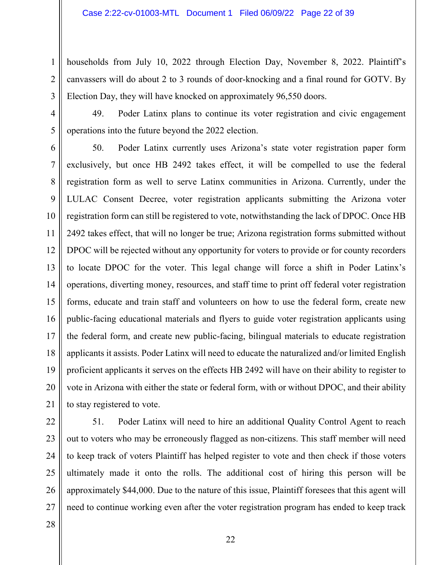3 households from July 10, 2022 through Election Day, November 8, 2022. Plaintiff's canvassers will do about 2 to 3 rounds of door-knocking and a final round for GOTV. By Election Day, they will have knocked on approximately 96,550 doors.

4 5 49. Poder Latinx plans to continue its voter registration and civic engagement operations into the future beyond the 2022 election.

6 7 8 9 10 11 12 13 14 15 16 17 18 19 20 21 50. Poder Latinx currently uses Arizona's state voter registration paper form exclusively, but once HB 2492 takes effect, it will be compelled to use the federal registration form as well to serve Latinx communities in Arizona. Currently, under the LULAC Consent Decree, voter registration applicants submitting the Arizona voter registration form can still be registered to vote, notwithstanding the lack of DPOC. Once HB 2492 takes effect, that will no longer be true; Arizona registration forms submitted without DPOC will be rejected without any opportunity for voters to provide or for county recorders to locate DPOC for the voter. This legal change will force a shift in Poder Latinx's operations, diverting money, resources, and staff time to print off federal voter registration forms, educate and train staff and volunteers on how to use the federal form, create new public-facing educational materials and flyers to guide voter registration applicants using the federal form, and create new public-facing, bilingual materials to educate registration applicants it assists. Poder Latinx will need to educate the naturalized and/or limited English proficient applicants it serves on the effects HB 2492 will have on their ability to register to vote in Arizona with either the state or federal form, with or without DPOC, and their ability to stay registered to vote.

22 23 24 25 26 27 51. Poder Latinx will need to hire an additional Quality Control Agent to reach out to voters who may be erroneously flagged as non-citizens. This staff member will need to keep track of voters Plaintiff has helped register to vote and then check if those voters ultimately made it onto the rolls. The additional cost of hiring this person will be approximately \$44,000. Due to the nature of this issue, Plaintiff foresees that this agent will need to continue working even after the voter registration program has ended to keep track

28

1

2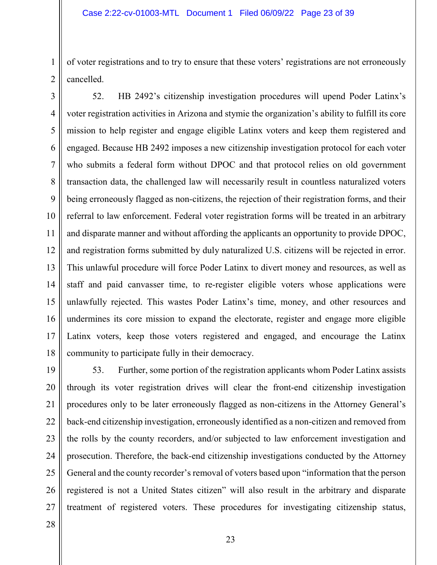of voter registrations and to try to ensure that these voters' registrations are not erroneously cancelled.

3 4 5 6 7 8 9 10 11 12 13 14 15 16 17 18 52. HB 2492's citizenship investigation procedures will upend Poder Latinx's voter registration activities in Arizona and stymie the organization's ability to fulfill its core mission to help register and engage eligible Latinx voters and keep them registered and engaged. Because HB 2492 imposes a new citizenship investigation protocol for each voter who submits a federal form without DPOC and that protocol relies on old government transaction data, the challenged law will necessarily result in countless naturalized voters being erroneously flagged as non-citizens, the rejection of their registration forms, and their referral to law enforcement. Federal voter registration forms will be treated in an arbitrary and disparate manner and without affording the applicants an opportunity to provide DPOC, and registration forms submitted by duly naturalized U.S. citizens will be rejected in error. This unlawful procedure will force Poder Latinx to divert money and resources, as well as staff and paid canvasser time, to re-register eligible voters whose applications were unlawfully rejected. This wastes Poder Latinx's time, money, and other resources and undermines its core mission to expand the electorate, register and engage more eligible Latinx voters, keep those voters registered and engaged, and encourage the Latinx community to participate fully in their democracy.

19 20 21 22 23 24 25 26 27 53. Further, some portion of the registration applicants whom Poder Latinx assists through its voter registration drives will clear the front-end citizenship investigation procedures only to be later erroneously flagged as non-citizens in the Attorney General's back-end citizenship investigation, erroneously identified as a non-citizen and removed from the rolls by the county recorders, and/or subjected to law enforcement investigation and prosecution. Therefore, the back-end citizenship investigations conducted by the Attorney General and the county recorder's removal of voters based upon "information that the person registered is not a United States citizen" will also result in the arbitrary and disparate treatment of registered voters. These procedures for investigating citizenship status,

28

1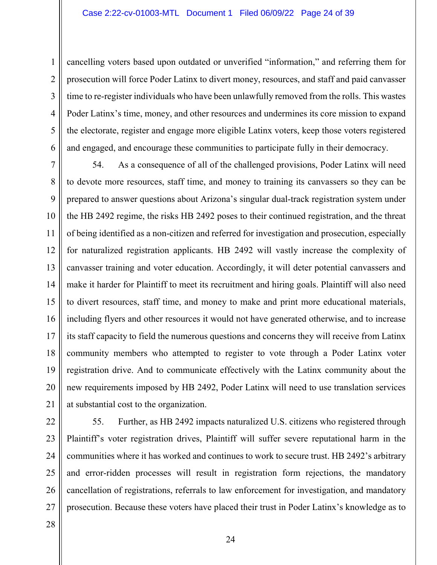1 2 3 4 5 6 cancelling voters based upon outdated or unverified "information," and referring them for prosecution will force Poder Latinx to divert money, resources, and staff and paid canvasser time to re-register individuals who have been unlawfully removed from the rolls. This wastes Poder Latinx's time, money, and other resources and undermines its core mission to expand the electorate, register and engage more eligible Latinx voters, keep those voters registered and engaged, and encourage these communities to participate fully in their democracy.

7 8 9 10 11 12 13 14 15 16 17 18 19 20 21 54. As a consequence of all of the challenged provisions, Poder Latinx will need to devote more resources, staff time, and money to training its canvassers so they can be prepared to answer questions about Arizona's singular dual-track registration system under the HB 2492 regime, the risks HB 2492 poses to their continued registration, and the threat of being identified as a non-citizen and referred for investigation and prosecution, especially for naturalized registration applicants. HB 2492 will vastly increase the complexity of canvasser training and voter education. Accordingly, it will deter potential canvassers and make it harder for Plaintiff to meet its recruitment and hiring goals. Plaintiff will also need to divert resources, staff time, and money to make and print more educational materials, including flyers and other resources it would not have generated otherwise, and to increase its staff capacity to field the numerous questions and concerns they will receive from Latinx community members who attempted to register to vote through a Poder Latinx voter registration drive. And to communicate effectively with the Latinx community about the new requirements imposed by HB 2492, Poder Latinx will need to use translation services at substantial cost to the organization.

22 23 24 25 26 27 55. Further, as HB 2492 impacts naturalized U.S. citizens who registered through Plaintiff's voter registration drives, Plaintiff will suffer severe reputational harm in the communities where it has worked and continues to work to secure trust. HB 2492's arbitrary and error-ridden processes will result in registration form rejections, the mandatory cancellation of registrations, referrals to law enforcement for investigation, and mandatory prosecution. Because these voters have placed their trust in Poder Latinx's knowledge as to

28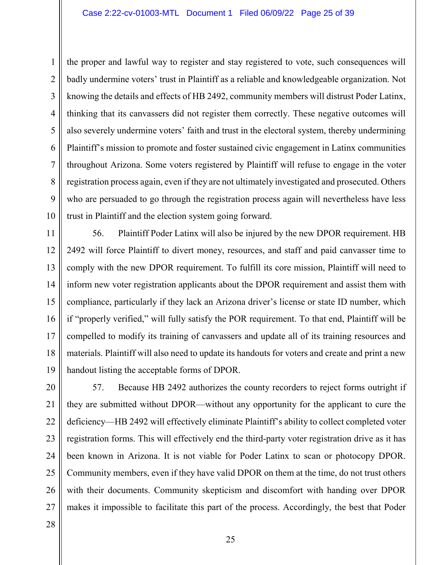1 2 3 4 5 6 7 8 9 10 the proper and lawful way to register and stay registered to vote, such consequences will badly undermine voters' trust in Plaintiff as a reliable and knowledgeable organization. Not knowing the details and effects of HB 2492, community members will distrust Poder Latinx, thinking that its canvassers did not register them correctly. These negative outcomes will also severely undermine voters' faith and trust in the electoral system, thereby undermining Plaintiff's mission to promote and foster sustained civic engagement in Latinx communities throughout Arizona. Some voters registered by Plaintiff will refuse to engage in the voter registration process again, even if they are not ultimately investigated and prosecuted. Others who are persuaded to go through the registration process again will nevertheless have less trust in Plaintiff and the election system going forward.

11 12 13 14 15 16 17 18 19 56. Plaintiff Poder Latinx will also be injured by the new DPOR requirement. HB 2492 will force Plaintiff to divert money, resources, and staff and paid canvasser time to comply with the new DPOR requirement. To fulfill its core mission, Plaintiff will need to inform new voter registration applicants about the DPOR requirement and assist them with compliance, particularly if they lack an Arizona driver's license or state ID number, which if "properly verified," will fully satisfy the POR requirement. To that end, Plaintiff will be compelled to modify its training of canvassers and update all of its training resources and materials. Plaintiff will also need to update its handouts for voters and create and print a new handout listing the acceptable forms of DPOR.

20 21 22 23 24 25 26 27 57. Because HB 2492 authorizes the county recorders to reject forms outright if they are submitted without DPOR—without any opportunity for the applicant to cure the deficiency—HB 2492 will effectively eliminate Plaintiff's ability to collect completed voter registration forms. This will effectively end the third-party voter registration drive as it has been known in Arizona. It is not viable for Poder Latinx to scan or photocopy DPOR. Community members, even if they have valid DPOR on them at the time, do not trust others with their documents. Community skepticism and discomfort with handing over DPOR makes it impossible to facilitate this part of the process. Accordingly, the best that Poder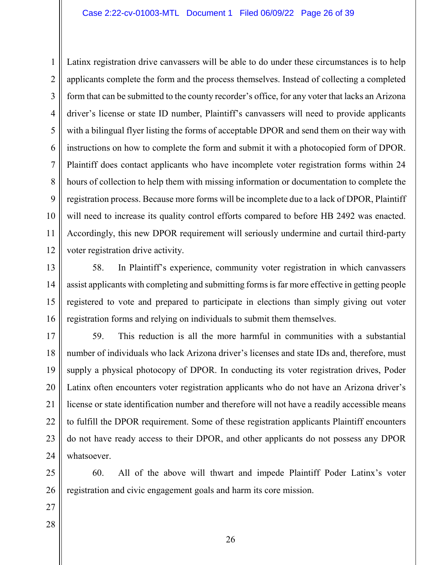1 2 3 4 5 6 7 8 9 10 11 12 Latinx registration drive canvassers will be able to do under these circumstances is to help applicants complete the form and the process themselves. Instead of collecting a completed form that can be submitted to the county recorder's office, for any voter that lacks an Arizona driver's license or state ID number, Plaintiff's canvassers will need to provide applicants with a bilingual flyer listing the forms of acceptable DPOR and send them on their way with instructions on how to complete the form and submit it with a photocopied form of DPOR. Plaintiff does contact applicants who have incomplete voter registration forms within 24 hours of collection to help them with missing information or documentation to complete the registration process. Because more forms will be incomplete due to a lack of DPOR, Plaintiff will need to increase its quality control efforts compared to before HB 2492 was enacted. Accordingly, this new DPOR requirement will seriously undermine and curtail third-party voter registration drive activity.

13 14 15 16 58. In Plaintiff's experience, community voter registration in which canvassers assist applicants with completing and submitting forms is far more effective in getting people registered to vote and prepared to participate in elections than simply giving out voter registration forms and relying on individuals to submit them themselves.

17 18 19 20 21 22 23 24 59. This reduction is all the more harmful in communities with a substantial number of individuals who lack Arizona driver's licenses and state IDs and, therefore, must supply a physical photocopy of DPOR. In conducting its voter registration drives, Poder Latinx often encounters voter registration applicants who do not have an Arizona driver's license or state identification number and therefore will not have a readily accessible means to fulfill the DPOR requirement. Some of these registration applicants Plaintiff encounters do not have ready access to their DPOR, and other applicants do not possess any DPOR whatsoever.

25 26 60. All of the above will thwart and impede Plaintiff Poder Latinx's voter registration and civic engagement goals and harm its core mission.

- 27
- 28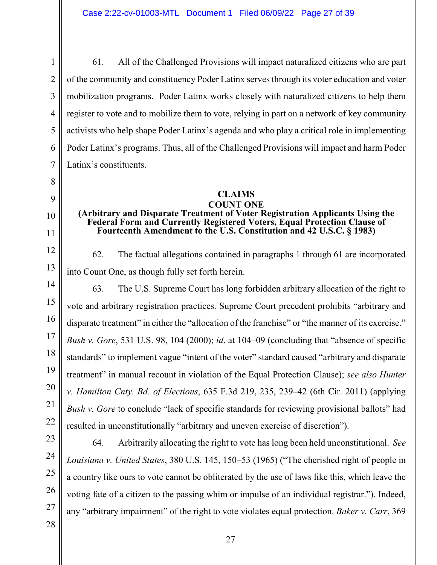1

61. All of the Challenged Provisions will impact naturalized citizens who are part of the community and constituency Poder Latinx serves through its voter education and voter mobilization programs. Poder Latinx works closely with naturalized citizens to help them register to vote and to mobilize them to vote, relying in part on a network of key community activists who help shape Poder Latinx's agenda and who play a critical role in implementing Poder Latinx's programs. Thus, all of the Challenged Provisions will impact and harm Poder Latinx's constituents.

# **CLAIMS**

#### **COUNT ONE (Arbitrary and Disparate Treatment of Voter Registration Applicants Using the Federal Form and Currently Registered Voters, Equal Protection Clause of Fourteenth Amendment to the U.S. Constitution and 42 U.S.C. § 1983)**

62. The factual allegations contained in paragraphs 1 through 61 are incorporated into Count One, as though fully set forth herein.

19 20 22 63. The U.S. Supreme Court has long forbidden arbitrary allocation of the right to vote and arbitrary registration practices. Supreme Court precedent prohibits "arbitrary and disparate treatment" in either the "allocation of the franchise" or "the manner of its exercise." *Bush v. Gore*, 531 U.S. 98, 104 (2000); *id*. at 104–09 (concluding that "absence of specific standards" to implement vague "intent of the voter" standard caused "arbitrary and disparate treatment" in manual recount in violation of the Equal Protection Clause); *see also Hunter v. Hamilton Cnty. Bd. of Elections*, 635 F.3d 219, 235, 239–42 (6th Cir. 2011) (applying *Bush v. Gore* to conclude "lack of specific standards for reviewing provisional ballots" had resulted in unconstitutionally "arbitrary and uneven exercise of discretion").

24 25

26

27

23

21

64. Arbitrarily allocating the right to vote has long been held unconstitutional. *See Louisiana v. United States*, 380 U.S. 145, 150–53 (1965) ("The cherished right of people in a country like ours to vote cannot be obliterated by the use of laws like this, which leave the voting fate of a citizen to the passing whim or impulse of an individual registrar."). Indeed, any "arbitrary impairment" of the right to vote violates equal protection. *Baker v. Carr*, 369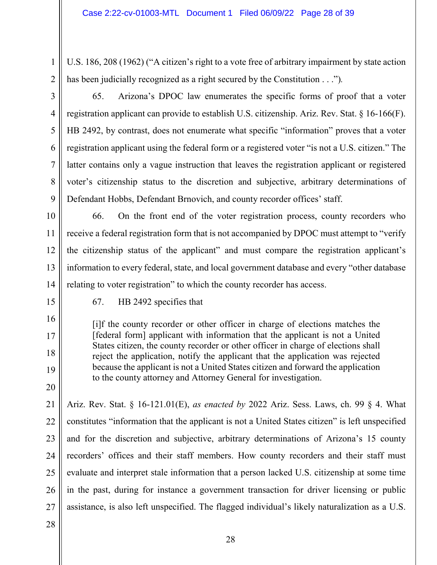U.S. 186, 208 (1962) ("A citizen's right to a vote free of arbitrary impairment by state action has been judicially recognized as a right secured by the Constitution . . .")*.*

65. Arizona's DPOC law enumerates the specific forms of proof that a voter registration applicant can provide to establish U.S. citizenship. Ariz. Rev. Stat. § 16-166(F). HB 2492, by contrast, does not enumerate what specific "information" proves that a voter registration applicant using the federal form or a registered voter "is not a U.S. citizen." The latter contains only a vague instruction that leaves the registration applicant or registered voter's citizenship status to the discretion and subjective, arbitrary determinations of Defendant Hobbs, Defendant Brnovich, and county recorder offices' staff.

10 11 12 13 14 66. On the front end of the voter registration process, county recorders who receive a federal registration form that is not accompanied by DPOC must attempt to "verify the citizenship status of the applicant" and must compare the registration applicant's information to every federal, state, and local government database and every "other database relating to voter registration" to which the county recorder has access.

15

16

17

18

19

20

1

2

3

4

5

6

7

8

9

67. HB 2492 specifies that

[i]f the county recorder or other officer in charge of elections matches the [federal form] applicant with information that the applicant is not a United States citizen, the county recorder or other officer in charge of elections shall reject the application, notify the applicant that the application was rejected because the applicant is not a United States citizen and forward the application to the county attorney and Attorney General for investigation.

21 22 23 24 25 26 27 Ariz. Rev. Stat. § 16-121.01(E), *as enacted by* 2022 Ariz. Sess. Laws, ch. 99 § 4. What constitutes "information that the applicant is not a United States citizen" is left unspecified and for the discretion and subjective, arbitrary determinations of Arizona's 15 county recorders' offices and their staff members. How county recorders and their staff must evaluate and interpret stale information that a person lacked U.S. citizenship at some time in the past, during for instance a government transaction for driver licensing or public assistance, is also left unspecified. The flagged individual's likely naturalization as a U.S.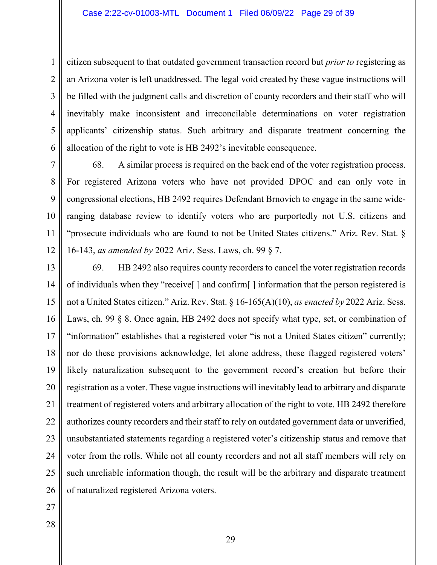1 2 3 4 5 6 citizen subsequent to that outdated government transaction record but *prior to* registering as an Arizona voter is left unaddressed. The legal void created by these vague instructions will be filled with the judgment calls and discretion of county recorders and their staff who will inevitably make inconsistent and irreconcilable determinations on voter registration applicants' citizenship status. Such arbitrary and disparate treatment concerning the allocation of the right to vote is HB 2492's inevitable consequence.

7 8 9 10 11 12 68. A similar process is required on the back end of the voter registration process. For registered Arizona voters who have not provided DPOC and can only vote in congressional elections, HB 2492 requires Defendant Brnovich to engage in the same wideranging database review to identify voters who are purportedly not U.S. citizens and "prosecute individuals who are found to not be United States citizens." Ariz. Rev. Stat. § 16-143, *as amended by* 2022 Ariz. Sess. Laws, ch. 99 § 7.

13 14 15 16 17 18 19 20 21 22 23 24 25 26 69. HB 2492 also requires county recorders to cancel the voter registration records of individuals when they "receive[ ] and confirm[ ] information that the person registered is not a United States citizen." Ariz. Rev. Stat. § 16-165(A)(10), *as enacted by* 2022 Ariz. Sess. Laws, ch. 99 § 8. Once again, HB 2492 does not specify what type, set, or combination of "information" establishes that a registered voter "is not a United States citizen" currently; nor do these provisions acknowledge, let alone address, these flagged registered voters' likely naturalization subsequent to the government record's creation but before their registration as a voter. These vague instructions will inevitably lead to arbitrary and disparate treatment of registered voters and arbitrary allocation of the right to vote. HB 2492 therefore authorizes county recorders and their staff to rely on outdated government data or unverified, unsubstantiated statements regarding a registered voter's citizenship status and remove that voter from the rolls. While not all county recorders and not all staff members will rely on such unreliable information though, the result will be the arbitrary and disparate treatment of naturalized registered Arizona voters.

27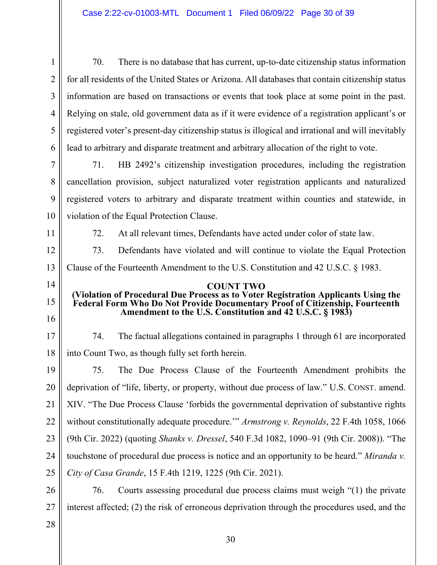| $\mathbf{1}$   | There is no database that has current, up-to-date citizenship status information<br>70.                                                                            |  |
|----------------|--------------------------------------------------------------------------------------------------------------------------------------------------------------------|--|
| $\overline{2}$ | for all residents of the United States or Arizona. All databases that contain citizenship status                                                                   |  |
| 3              | information are based on transactions or events that took place at some point in the past.                                                                         |  |
| 4              | Relying on stale, old government data as if it were evidence of a registration applicant's or                                                                      |  |
| 5              | registered voter's present-day citizenship status is illogical and irrational and will inevitably                                                                  |  |
| 6              | lead to arbitrary and disparate treatment and arbitrary allocation of the right to vote.                                                                           |  |
| 7              | HB 2492's citizenship investigation procedures, including the registration<br>71.                                                                                  |  |
| 8              | cancellation provision, subject naturalized voter registration applicants and naturalized                                                                          |  |
| 9              | registered voters to arbitrary and disparate treatment within counties and statewide, in                                                                           |  |
| 10             | violation of the Equal Protection Clause.                                                                                                                          |  |
| 11             | At all relevant times, Defendants have acted under color of state law.<br>72.                                                                                      |  |
| 12             | 73.<br>Defendants have violated and will continue to violate the Equal Protection                                                                                  |  |
| 13             | Clause of the Fourteenth Amendment to the U.S. Constitution and 42 U.S.C. § 1983.                                                                                  |  |
|                | <b>COUNT TWO</b>                                                                                                                                                   |  |
| 14             |                                                                                                                                                                    |  |
| 15             | (Violation of Procedural Due Process as to Voter Registration Applicants Using the<br>Federal Form Who Do Not Provide Documentary Proof of Citizenship, Fourteenth |  |
| 16             | Amendment to the U.S. Constitution and 42 U.S.C. § 1983)                                                                                                           |  |
| 17             | 74.<br>The factual allegations contained in paragraphs 1 through 61 are incorporated                                                                               |  |
| 18             | into Count Two, as though fully set forth herein.                                                                                                                  |  |
| 19             | 75.<br>The Due Process Clause of the Fourteenth Amendment prohibits the                                                                                            |  |
| 20             | deprivation of "life, liberty, or property, without due process of law." U.S. CONST. amend.                                                                        |  |
| 21             | XIV. "The Due Process Clause 'forbids the governmental deprivation of substantive rights                                                                           |  |
| 22             | without constitutionally adequate procedure." Armstrong v. Reynolds, 22 F.4th 1058, 1066                                                                           |  |
| 23             | (9th Cir. 2022) (quoting Shanks v. Dressel, 540 F.3d 1082, 1090-91 (9th Cir. 2008)). "The                                                                          |  |
| 24             | touchstone of procedural due process is notice and an opportunity to be heard." Miranda v.                                                                         |  |
| 25             | City of Casa Grande, 15 F.4th 1219, 1225 (9th Cir. 2021).                                                                                                          |  |
| 26             | 76.<br>Courts assessing procedural due process claims must weigh "(1) the private                                                                                  |  |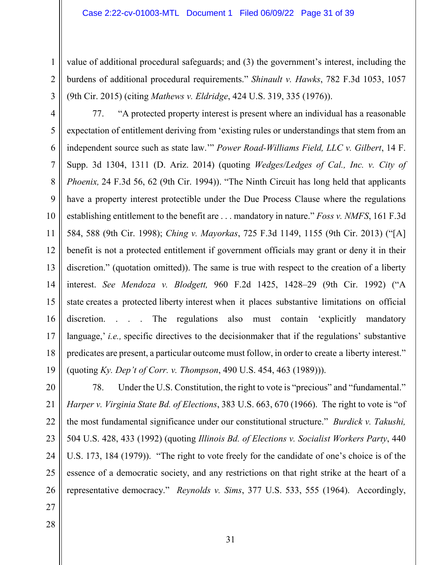value of additional procedural safeguards; and (3) the government's interest, including the burdens of additional procedural requirements." *Shinault v. Hawks*, 782 F.3d 1053, 1057 (9th Cir. 2015) (citing *Mathews v. Eldridge*, 424 U.S. 319, 335 (1976)).

4 5 6 7 8 9 10 11 12 13 14 15 16 17 18 19 77. "A protected property interest is present where an individual has a reasonable expectation of entitlement deriving from 'existing rules or understandings that stem from an independent source such as state law.'" *Power Road-Williams Field, LLC v. Gilbert*, 14 F. Supp. 3d 1304, 1311 (D. Ariz. 2014) (quoting *Wedges/Ledges of Cal., Inc. v. City of Phoenix,* 24 F.3d 56, 62 (9th Cir. 1994)). "The Ninth Circuit has long held that applicants have a property interest protectible under the Due Process Clause where the regulations establishing entitlement to the benefit are . . . mandatory in nature." *Foss v. NMFS*, 161 F.3d 584, 588 (9th Cir. 1998); *Ching v. Mayorkas*, 725 F.3d 1149, 1155 (9th Cir. 2013) ("[A] benefit is not a protected entitlement if government officials may grant or deny it in their discretion." (quotation omitted)). The same is true with respect to the creation of a liberty interest. *See Mendoza v. Blodgett,* 960 F.2d 1425, 1428–29 (9th Cir. 1992) ("A state creates a protected liberty interest when it places substantive limitations on official discretion. . . . The regulations also must contain 'explicitly mandatory language,' *i.e.,* specific directives to the decisionmaker that if the regulations' substantive predicates are present, a particular outcome must follow, in order to create a liberty interest." (quoting *Ky. Dep't of Corr. v. Thompson*, 490 U.S. 454, 463 (1989))).

20 21 22 23 24 25 26 78. Under the U.S. Constitution, the right to vote is "precious" and "fundamental." *Harper v. Virginia State Bd. of Elections*, 383 U.S. 663, 670 (1966). The right to vote is "of the most fundamental significance under our constitutional structure." *Burdick v. Takushi,* 504 U.S. 428, 433 (1992) (quoting *Illinois Bd. of Elections v. Socialist Workers Party*, 440 U.S. 173, 184 (1979)). "The right to vote freely for the candidate of one's choice is of the essence of a democratic society, and any restrictions on that right strike at the heart of a representative democracy." *Reynolds v. Sims*, 377 U.S. 533, 555 (1964). Accordingly,

27

1

2

3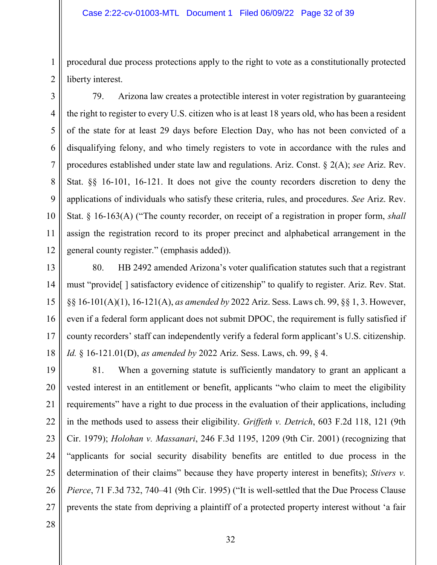### Case 2:22-cv-01003-MTL Document 1 Filed 06/09/22 Page 32 of 39

procedural due process protections apply to the right to vote as a constitutionally protected liberty interest.

3 4 5 6 7 8 9 10 11 12 79. Arizona law creates a protectible interest in voter registration by guaranteeing the right to register to every U.S. citizen who is at least 18 years old, who has been a resident of the state for at least 29 days before Election Day, who has not been convicted of a disqualifying felony, and who timely registers to vote in accordance with the rules and procedures established under state law and regulations. Ariz. Const. § 2(A); *see* Ariz. Rev. Stat. §§ 16-101, 16-121. It does not give the county recorders discretion to deny the applications of individuals who satisfy these criteria, rules, and procedures. *See* Ariz. Rev. Stat. § 16-163(A) ("The county recorder, on receipt of a registration in proper form, *shall* assign the registration record to its proper precinct and alphabetical arrangement in the general county register." (emphasis added)).

13 14 15 16 17 18 80. HB 2492 amended Arizona's voter qualification statutes such that a registrant must "provide[ ] satisfactory evidence of citizenship" to qualify to register. Ariz. Rev. Stat. §§ 16-101(A)(1), 16-121(A), *as amended by* 2022 Ariz. Sess. Laws ch. 99, §§ 1, 3. However, even if a federal form applicant does not submit DPOC, the requirement is fully satisfied if county recorders' staff can independently verify a federal form applicant's U.S. citizenship. *Id.* § 16-121.01(D), *as amended by* 2022 Ariz. Sess. Laws, ch. 99, § 4.

19 20 21 22 23 24 25 26 27 81. When a governing statute is sufficiently mandatory to grant an applicant a vested interest in an entitlement or benefit, applicants "who claim to meet the eligibility requirements" have a right to due process in the evaluation of their applications, including in the methods used to assess their eligibility. *Griffeth v. Detrich*, 603 F.2d 118, 121 (9th Cir. 1979); *Holohan v. Massanari*, 246 F.3d 1195, 1209 (9th Cir. 2001) (recognizing that "applicants for social security disability benefits are entitled to due process in the determination of their claims" because they have property interest in benefits); *Stivers v. Pierce*, 71 F.3d 732, 740–41 (9th Cir. 1995) ("It is well-settled that the Due Process Clause prevents the state from depriving a plaintiff of a protected property interest without 'a fair

28

1

2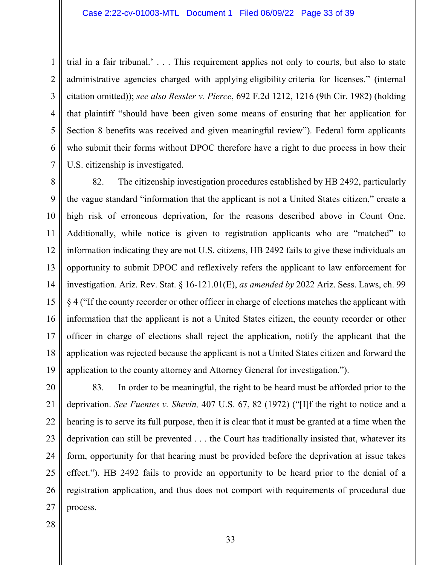1 2 3 4 5 6 7 trial in a fair tribunal.' . . . This requirement applies not only to courts, but also to state administrative agencies charged with applying eligibility criteria for licenses." (internal citation omitted)); *see also Ressler v. Pierce*, 692 F.2d 1212, 1216 (9th Cir. 1982) (holding that plaintiff "should have been given some means of ensuring that her application for Section 8 benefits was received and given meaningful review"). Federal form applicants who submit their forms without DPOC therefore have a right to due process in how their U.S. citizenship is investigated.

8 9 10 11 12 13 14 15 16 17 18 19 82. The citizenship investigation procedures established by HB 2492, particularly the vague standard "information that the applicant is not a United States citizen," create a high risk of erroneous deprivation, for the reasons described above in Count One. Additionally, while notice is given to registration applicants who are "matched" to information indicating they are not U.S. citizens, HB 2492 fails to give these individuals an opportunity to submit DPOC and reflexively refers the applicant to law enforcement for investigation. Ariz. Rev. Stat. § 16-121.01(E), *as amended by* 2022 Ariz. Sess. Laws, ch. 99 § 4 ("If the county recorder or other officer in charge of elections matches the applicant with information that the applicant is not a United States citizen, the county recorder or other officer in charge of elections shall reject the application, notify the applicant that the application was rejected because the applicant is not a United States citizen and forward the application to the county attorney and Attorney General for investigation.").

20 21 22 23 24 25 26 27 83. In order to be meaningful, the right to be heard must be afforded prior to the deprivation. *See Fuentes v. Shevin,* 407 U.S. 67, 82 (1972) ("[I]f the right to notice and a hearing is to serve its full purpose, then it is clear that it must be granted at a time when the deprivation can still be prevented . . . the Court has traditionally insisted that, whatever its form, opportunity for that hearing must be provided before the deprivation at issue takes effect."). HB 2492 fails to provide an opportunity to be heard prior to the denial of a registration application, and thus does not comport with requirements of procedural due process.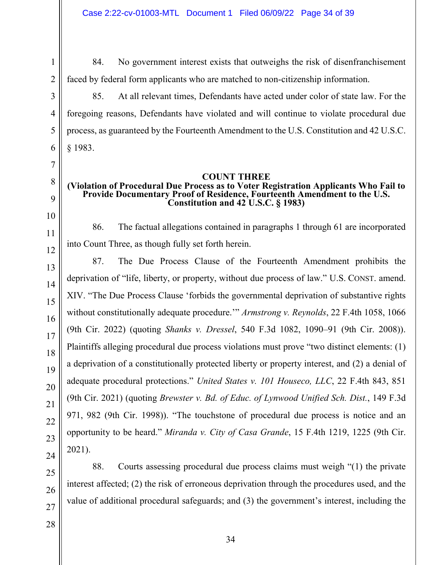84. No government interest exists that outweighs the risk of disenfranchisement faced by federal form applicants who are matched to non-citizenship information.

85. At all relevant times, Defendants have acted under color of state law. For the foregoing reasons, Defendants have violated and will continue to violate procedural due process, as guaranteed by the Fourteenth Amendment to the U.S. Constitution and 42 U.S.C. § 1983.

# **COUNT THREE**

# **(Violation of Procedural Due Process as to Voter Registration Applicants Who Fail to Provide Documentary Proof of Residence, Fourteenth Amendment to the U.S. Constitution and 42 U.S.C. § 1983)**

86. The factual allegations contained in paragraphs 1 through 61 are incorporated into Count Three, as though fully set forth herein.

87. The Due Process Clause of the Fourteenth Amendment prohibits the deprivation of "life, liberty, or property, without due process of law." U.S. CONST. amend. XIV. "The Due Process Clause 'forbids the governmental deprivation of substantive rights without constitutionally adequate procedure.'" *Armstrong v. Reynolds*, 22 F.4th 1058, 1066 (9th Cir. 2022) (quoting *Shanks v. Dressel*, 540 F.3d 1082, 1090–91 (9th Cir. 2008)). Plaintiffs alleging procedural due process violations must prove "two distinct elements: (1) a deprivation of a constitutionally protected liberty or property interest, and (2) a denial of adequate procedural protections." *United States v. 101 Houseco, LLC*, 22 F.4th 843, 851 (9th Cir. 2021) (quoting *Brewster v. Bd. of Educ. of Lynwood Unified Sch. Dist.*, 149 F.3d 971, 982 (9th Cir. 1998)). "The touchstone of procedural due process is notice and an opportunity to be heard." *Miranda v. City of Casa Grande*, 15 F.4th 1219, 1225 (9th Cir. 2021).

88. Courts assessing procedural due process claims must weigh "(1) the private interest affected; (2) the risk of erroneous deprivation through the procedures used, and the value of additional procedural safeguards; and (3) the government's interest, including the

1

2

3

4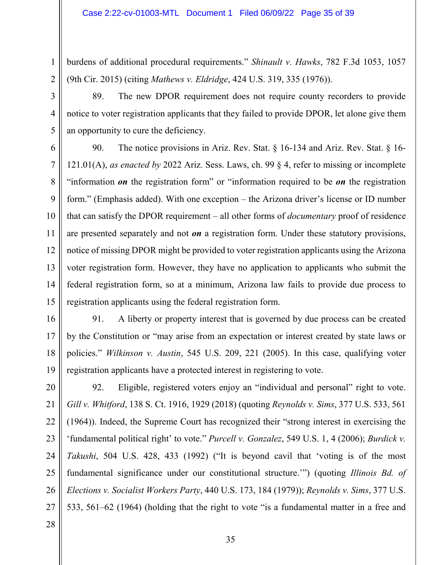burdens of additional procedural requirements." *Shinault v. Hawks*, 782 F.3d 1053, 1057 (9th Cir. 2015) (citing *Mathews v. Eldridge*, 424 U.S. 319, 335 (1976)).

89. The new DPOR requirement does not require county recorders to provide notice to voter registration applicants that they failed to provide DPOR, let alone give them an opportunity to cure the deficiency.

6 7 8 9 10 11 12 13 14 15 90. The notice provisions in Ariz. Rev. Stat. § 16-134 and Ariz. Rev. Stat. § 16- 121.01(A), *as enacted by* 2022 Ariz. Sess. Laws, ch. 99 § 4, refer to missing or incomplete "information *on* the registration form" or "information required to be *on* the registration form." (Emphasis added). With one exception – the Arizona driver's license or ID number that can satisfy the DPOR requirement – all other forms of *documentary* proof of residence are presented separately and not *on* a registration form. Under these statutory provisions, notice of missing DPOR might be provided to voter registration applicants using the Arizona voter registration form. However, they have no application to applicants who submit the federal registration form, so at a minimum, Arizona law fails to provide due process to registration applicants using the federal registration form.

16 17 18 19 91. A liberty or property interest that is governed by due process can be created by the Constitution or "may arise from an expectation or interest created by state laws or policies." *Wilkinson v. Austin*, 545 U.S. 209, 221 (2005). In this case, qualifying voter registration applicants have a protected interest in registering to vote.

20 21 22 23 24 25 26 27 92. Eligible, registered voters enjoy an "individual and personal" right to vote. *Gill v. Whitford*, 138 S. Ct. 1916, 1929 (2018) (quoting *Reynolds v. Sims*, 377 U.S. 533, 561 (1964)). Indeed, the Supreme Court has recognized their "strong interest in exercising the 'fundamental political right' to vote." *Purcell v. Gonzalez*, 549 U.S. 1, 4 (2006); *Burdick v. Takushi*, 504 U.S. 428, 433 (1992) ("It is beyond cavil that 'voting is of the most fundamental significance under our constitutional structure.'") (quoting *Illinois Bd. of Elections v. Socialist Workers Party*, 440 U.S. 173, 184 (1979)); *Reynolds v. Sims*, 377 U.S. 533, 561–62 (1964) (holding that the right to vote "is a fundamental matter in a free and

28

1

2

3

4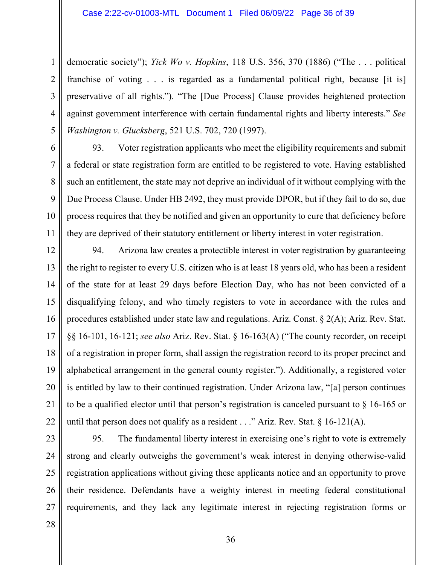1 2 3 4 5 democratic society"); *Yick Wo v. Hopkins*, 118 U.S. 356, 370 (1886) ("The . . . political franchise of voting . . . is regarded as a fundamental political right, because [it is] preservative of all rights."). "The [Due Process] Clause provides heightened protection against government interference with certain fundamental rights and liberty interests." *See Washington v. Glucksberg*, 521 U.S. 702, 720 (1997).

6 7 8 9 10 11 93. Voter registration applicants who meet the eligibility requirements and submit a federal or state registration form are entitled to be registered to vote. Having established such an entitlement, the state may not deprive an individual of it without complying with the Due Process Clause. Under HB 2492, they must provide DPOR, but if they fail to do so, due process requires that they be notified and given an opportunity to cure that deficiency before they are deprived of their statutory entitlement or liberty interest in voter registration.

12 13 14 15 16 17 18 19 20 21 22 94. Arizona law creates a protectible interest in voter registration by guaranteeing the right to register to every U.S. citizen who is at least 18 years old, who has been a resident of the state for at least 29 days before Election Day, who has not been convicted of a disqualifying felony, and who timely registers to vote in accordance with the rules and procedures established under state law and regulations. Ariz. Const. § 2(A); Ariz. Rev. Stat. §§ 16-101, 16-121; *see also* Ariz. Rev. Stat. § 16-163(A) ("The county recorder, on receipt of a registration in proper form, shall assign the registration record to its proper precinct and alphabetical arrangement in the general county register."). Additionally, a registered voter is entitled by law to their continued registration. Under Arizona law, "[a] person continues to be a qualified elector until that person's registration is canceled pursuant to § 16-165 or until that person does not qualify as a resident  $\ldots$ " Ariz. Rev. Stat. § 16-121(A).

23 24 25 26 27 95. The fundamental liberty interest in exercising one's right to vote is extremely strong and clearly outweighs the government's weak interest in denying otherwise-valid registration applications without giving these applicants notice and an opportunity to prove their residence. Defendants have a weighty interest in meeting federal constitutional requirements, and they lack any legitimate interest in rejecting registration forms or

28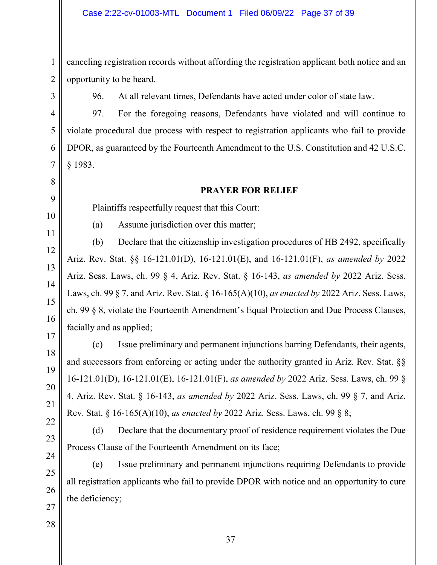canceling registration records without affording the registration applicant both notice and an opportunity to be heard.

1

2

3

4

5

6

96. At all relevant times, Defendants have acted under color of state law.

97. For the foregoing reasons, Defendants have violated and will continue to violate procedural due process with respect to registration applicants who fail to provide DPOR, as guaranteed by the Fourteenth Amendment to the U.S. Constitution and 42 U.S.C. § 1983.

# **PRAYER FOR RELIEF**

Plaintiffs respectfully request that this Court:

(a) Assume jurisdiction over this matter;

(b) Declare that the citizenship investigation procedures of HB 2492, specifically Ariz. Rev. Stat. §§ 16-121.01(D), 16-121.01(E), and 16-121.01(F), *as amended by* 2022 Ariz. Sess. Laws, ch. 99 § 4, Ariz. Rev. Stat. § 16-143, *as amended by* 2022 Ariz. Sess. Laws, ch. 99 § 7, and Ariz. Rev. Stat. § 16-165(A)(10), *as enacted by* 2022 Ariz. Sess. Laws, ch. 99 § 8, violate the Fourteenth Amendment's Equal Protection and Due Process Clauses, facially and as applied;

(c) Issue preliminary and permanent injunctions barring Defendants, their agents, and successors from enforcing or acting under the authority granted in Ariz. Rev. Stat. §§ 16-121.01(D), 16-121.01(E), 16-121.01(F), *as amended by* 2022 Ariz. Sess. Laws, ch. 99 § 4, Ariz. Rev. Stat. § 16-143, *as amended by* 2022 Ariz. Sess. Laws, ch. 99 § 7, and Ariz. Rev. Stat. § 16-165(A)(10), *as enacted by* 2022 Ariz. Sess. Laws, ch. 99 § 8;

(d) Declare that the documentary proof of residence requirement violates the Due Process Clause of the Fourteenth Amendment on its face;

(e) Issue preliminary and permanent injunctions requiring Defendants to provide all registration applicants who fail to provide DPOR with notice and an opportunity to cure the deficiency;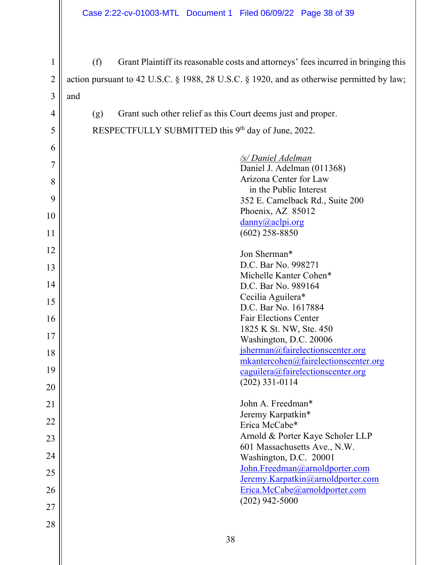1 2 3 (f) Grant Plaintiff its reasonable costs and attorneys' fees incurred in bringing this action pursuant to 42 U.S.C. § 1988, 28 U.S.C. § 1920, and as otherwise permitted by law; and

(g) Grant such other relief as this Court deems just and proper. RESPECTFULLY SUBMITTED this 9<sup>th</sup> day of June, 2022.

| 5  | RESPECTFULLY SUBMITTED this 9th day of June, 2022.                 |
|----|--------------------------------------------------------------------|
| 6  |                                                                    |
| 7  | /s/ Daniel Adelman                                                 |
|    | Daniel J. Adelman (011368)                                         |
| 8  | Arizona Center for Law                                             |
| 9  | in the Public Interest                                             |
|    | 352 E. Camelback Rd., Suite 200<br>Phoenix, AZ 85012               |
| 10 | $\frac{d$ anny@aclpi.org                                           |
| 11 | $(602)$ 258-8850                                                   |
|    |                                                                    |
| 12 | Jon Sherman*                                                       |
| 13 | D.C. Bar No. 998271                                                |
|    | Michelle Kanter Cohen*                                             |
| 14 | D.C. Bar No. 989164                                                |
| 15 | Cecilia Aguilera*                                                  |
|    | D.C. Bar No. 1617884                                               |
| 16 | <b>Fair Elections Center</b>                                       |
| 17 | 1825 K St. NW, Ste. 450                                            |
|    | Washington, D.C. 20006                                             |
| 18 | jsherman@fairelectionscenter.org                                   |
| 19 | mkantercohen@fairelectionscenter.org                               |
|    | caguilera@fairelectionscenter.org                                  |
| 20 | $(202)$ 331-0114                                                   |
| 21 | John A. Freedman*                                                  |
|    | Jeremy Karpatkin*                                                  |
| 22 | Erica McCabe*                                                      |
| 23 | Arnold & Porter Kaye Scholer LLP                                   |
|    | 601 Massachusetts Ave., N.W.                                       |
| 24 | Washington, D.C. 20001                                             |
| 25 | John.Freedman@arnoldporter.com                                     |
| 26 | Jeremy.Karpatkin@arnoldporter.com<br>Erica.McCabe@arnoldporter.com |
|    | $(202)$ 942-5000                                                   |
| 27 |                                                                    |
| 28 |                                                                    |
|    |                                                                    |